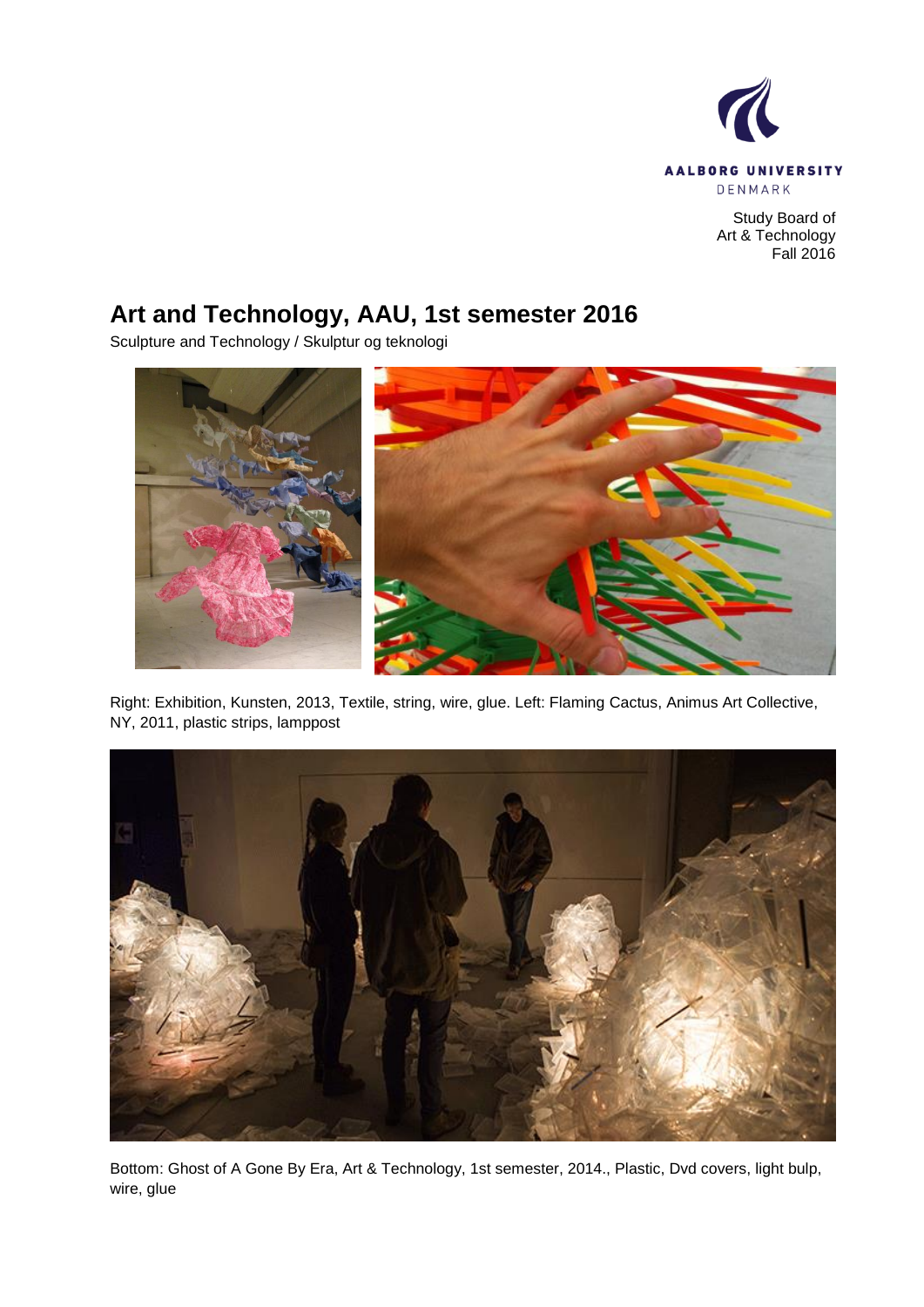

Study Board of Art & Technology Fall 2016

# **Art and Technology, AAU, 1st semester 2016**

Sculpture and Technology / Skulptur og teknologi



Right: Exhibition, Kunsten, 2013, Textile, string, wire, glue. Left: Flaming Cactus, Animus Art Collective, NY, 2011, plastic strips, lamppost



Bottom: Ghost of A Gone By Era, Art & Technology, 1st semester, 2014., Plastic, Dvd covers, light bulp, wire, glue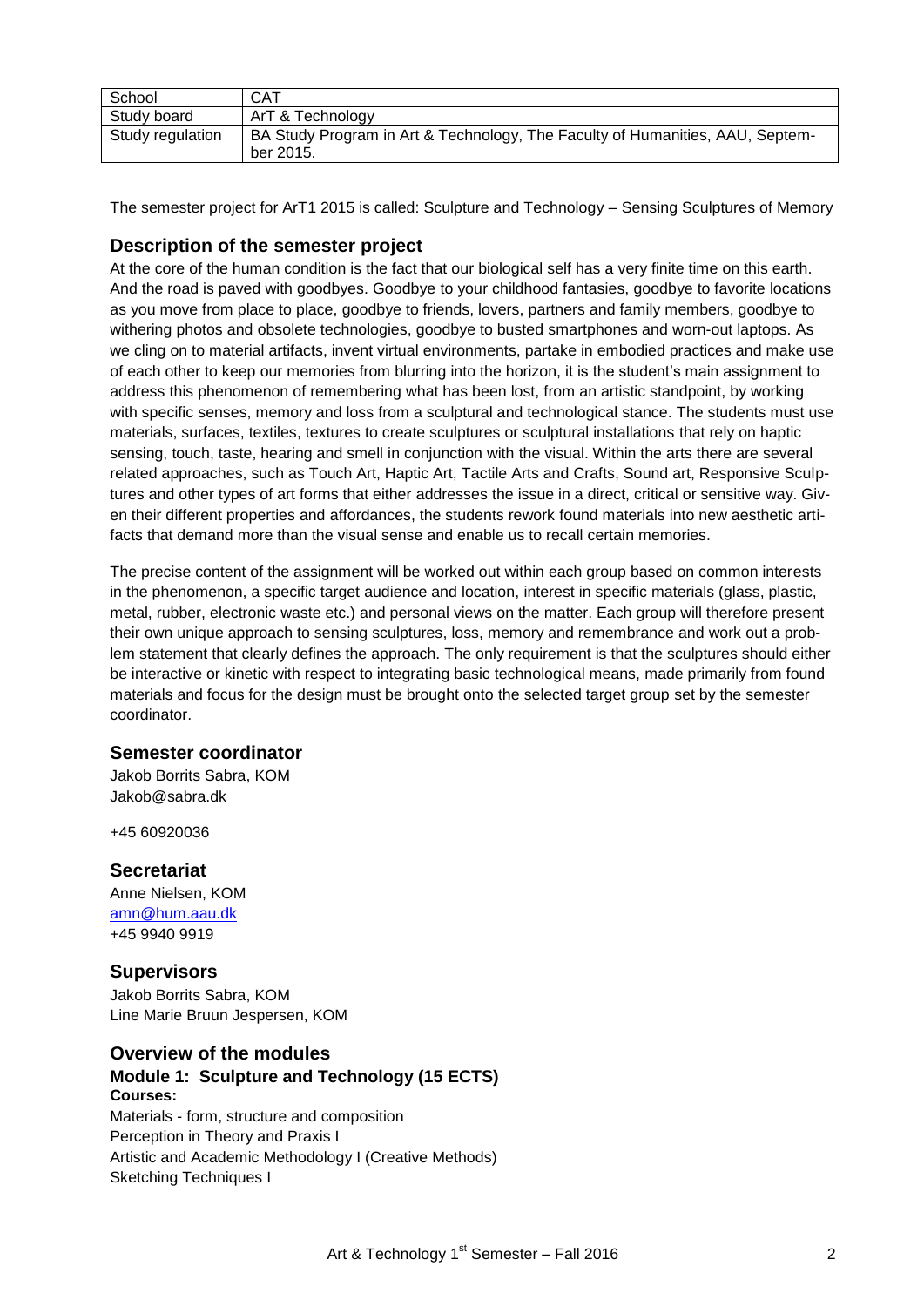| School           | <b>CAT</b>                                                                    |
|------------------|-------------------------------------------------------------------------------|
| Study board      | ArT & Technology                                                              |
| Study regulation | BA Study Program in Art & Technology, The Faculty of Humanities, AAU, Septem- |
|                  | ber 2015.                                                                     |

The semester project for ArT1 2015 is called: Sculpture and Technology – Sensing Sculptures of Memory

## **Description of the semester project**

At the core of the human condition is the fact that our biological self has a very finite time on this earth. And the road is paved with goodbyes. Goodbye to your childhood fantasies, goodbye to favorite locations as you move from place to place, goodbye to friends, lovers, partners and family members, goodbye to withering photos and obsolete technologies, goodbye to busted smartphones and worn-out laptops. As we cling on to material artifacts, invent virtual environments, partake in embodied practices and make use of each other to keep our memories from blurring into the horizon, it is the student"s main assignment to address this phenomenon of remembering what has been lost, from an artistic standpoint, by working with specific senses, memory and loss from a sculptural and technological stance. The students must use materials, surfaces, textiles, textures to create sculptures or sculptural installations that rely on haptic sensing, touch, taste, hearing and smell in conjunction with the visual. Within the arts there are several related approaches, such as Touch Art, Haptic Art, Tactile Arts and Crafts, Sound art, Responsive Sculptures and other types of art forms that either addresses the issue in a direct, critical or sensitive way. Given their different properties and affordances, the students rework found materials into new aesthetic artifacts that demand more than the visual sense and enable us to recall certain memories.

The precise content of the assignment will be worked out within each group based on common interests in the phenomenon, a specific target audience and location, interest in specific materials (glass, plastic, metal, rubber, electronic waste etc.) and personal views on the matter. Each group will therefore present their own unique approach to sensing sculptures, loss, memory and remembrance and work out a problem statement that clearly defines the approach. The only requirement is that the sculptures should either be interactive or kinetic with respect to integrating basic technological means, made primarily from found materials and focus for the design must be brought onto the selected target group set by the semester coordinator.

## **Semester coordinator**

Jakob Borrits Sabra, KOM Jakob@sabra.dk

+45 60920036

## **Secretariat**

Anne Nielsen, KOM [amn@hum.aau.dk](mailto:amn@hum.aau.dk) +45 9940 9919

## **Supervisors**

Jakob Borrits Sabra, KOM Line Marie Bruun Jespersen, KOM

# **Overview of the modules**

## **Module 1: Sculpture and Technology (15 ECTS) Courses:** Materials - form, structure and composition

Perception in Theory and Praxis I Artistic and Academic Methodology I (Creative Methods) Sketching Techniques I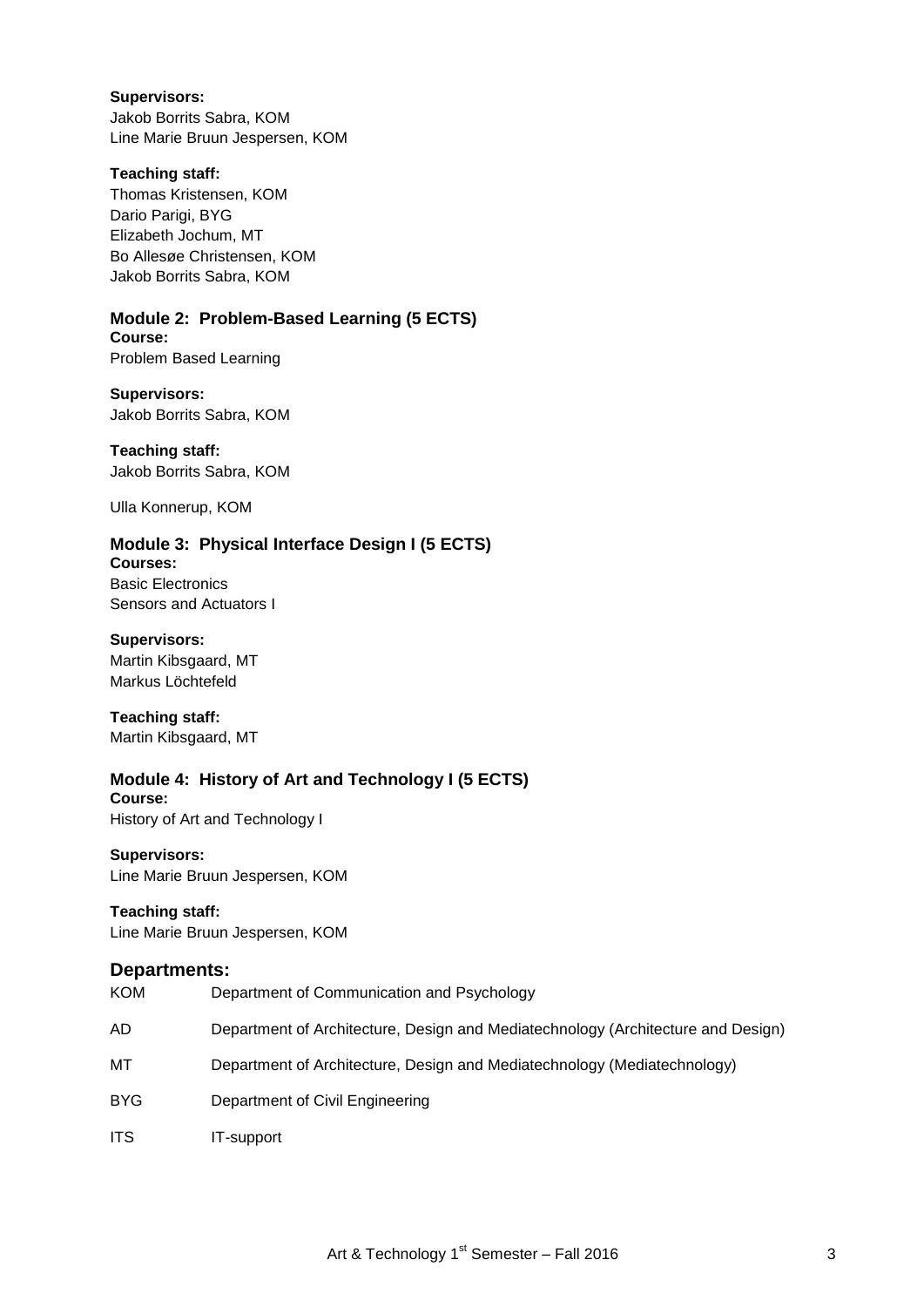#### **Supervisors:**

Jakob Borrits Sabra, KOM Line Marie Bruun Jespersen, KOM

## **Teaching staff:**

Thomas Kristensen, KOM Dario Parigi, BYG Elizabeth Jochum, MT Bo Allesøe Christensen, KOM Jakob Borrits Sabra, KOM

# **Module 2: Problem-Based Learning (5 ECTS)**

**Course:** Problem Based Learning

## **Supervisors:**

Jakob Borrits Sabra, KOM

## **Teaching staff:**

Jakob Borrits Sabra, KOM

Ulla Konnerup, KOM

# **Module 3: Physical Interface Design I (5 ECTS)**

**Courses:** Basic Electronics Sensors and Actuators I

## **Supervisors:**

Martin Kibsgaard, MT Markus Löchtefeld

**Teaching staff:** Martin Kibsgaard, MT

#### **Module 4: History of Art and Technology I (5 ECTS) Course:**

History of Art and Technology I

## **Supervisors:**

Line Marie Bruun Jespersen, KOM

## **Teaching staff:**

Line Marie Bruun Jespersen, KOM

## **Departments:**

| <b>KOM</b> | Department of Communication and Psychology                                       |
|------------|----------------------------------------------------------------------------------|
| AD.        | Department of Architecture, Design and Mediatechnology (Architecture and Design) |
| МT         | Department of Architecture, Design and Mediatechnology (Mediatechnology)         |
| <b>BYG</b> | Department of Civil Engineering                                                  |
| <b>ITS</b> | IT-support                                                                       |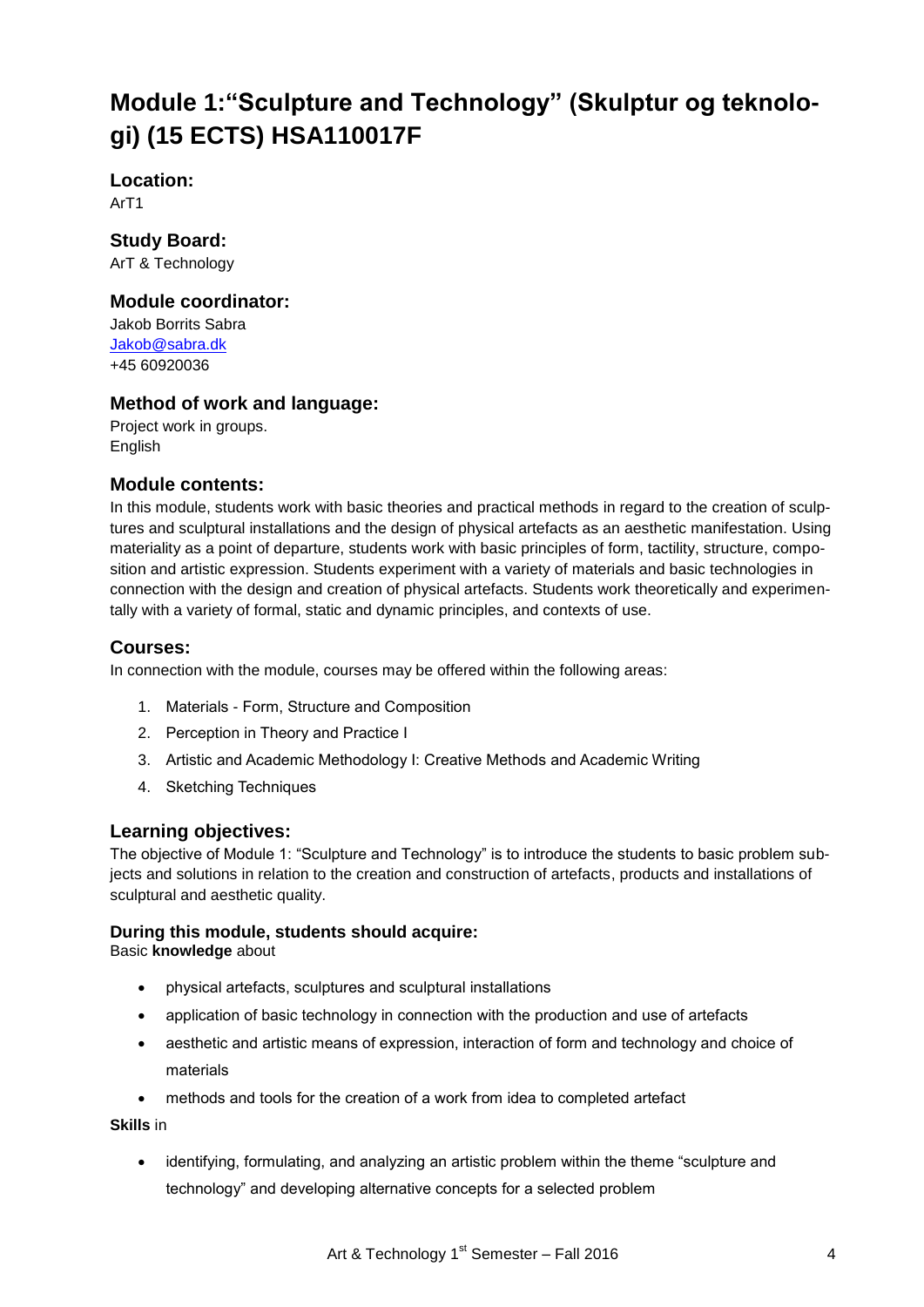# **Module 1:"Sculpture and Technology" (Skulptur og teknologi) (15 ECTS) HSA110017F**

**Location:** ArT1

**Study Board:** ArT & Technology

# **Module coordinator:**

Jakob Borrits Sabra [Jakob@sabra.dk](mailto:betty@hum.aau.dk) +45 60920036

# **Method of work and language:**

Project work in groups. English

## **Module contents:**

In this module, students work with basic theories and practical methods in regard to the creation of sculptures and sculptural installations and the design of physical artefacts as an aesthetic manifestation. Using materiality as a point of departure, students work with basic principles of form, tactility, structure, composition and artistic expression. Students experiment with a variety of materials and basic technologies in connection with the design and creation of physical artefacts. Students work theoretically and experimentally with a variety of formal, static and dynamic principles, and contexts of use.

# **Courses:**

In connection with the module, courses may be offered within the following areas:

- 1. Materials Form, Structure and Composition
- 2. Perception in Theory and Practice I
- 3. Artistic and Academic Methodology I: Creative Methods and Academic Writing
- 4. Sketching Techniques

## **Learning objectives:**

The objective of Module 1: "Sculpture and Technology" is to introduce the students to basic problem subjects and solutions in relation to the creation and construction of artefacts, products and installations of sculptural and aesthetic quality.

## **During this module, students should acquire:**

Basic **knowledge** about

- physical artefacts, sculptures and sculptural installations
- application of basic technology in connection with the production and use of artefacts
- aesthetic and artistic means of expression, interaction of form and technology and choice of materials
- methods and tools for the creation of a work from idea to completed artefact

**Skills** in

 identifying, formulating, and analyzing an artistic problem within the theme "sculpture and technology" and developing alternative concepts for a selected problem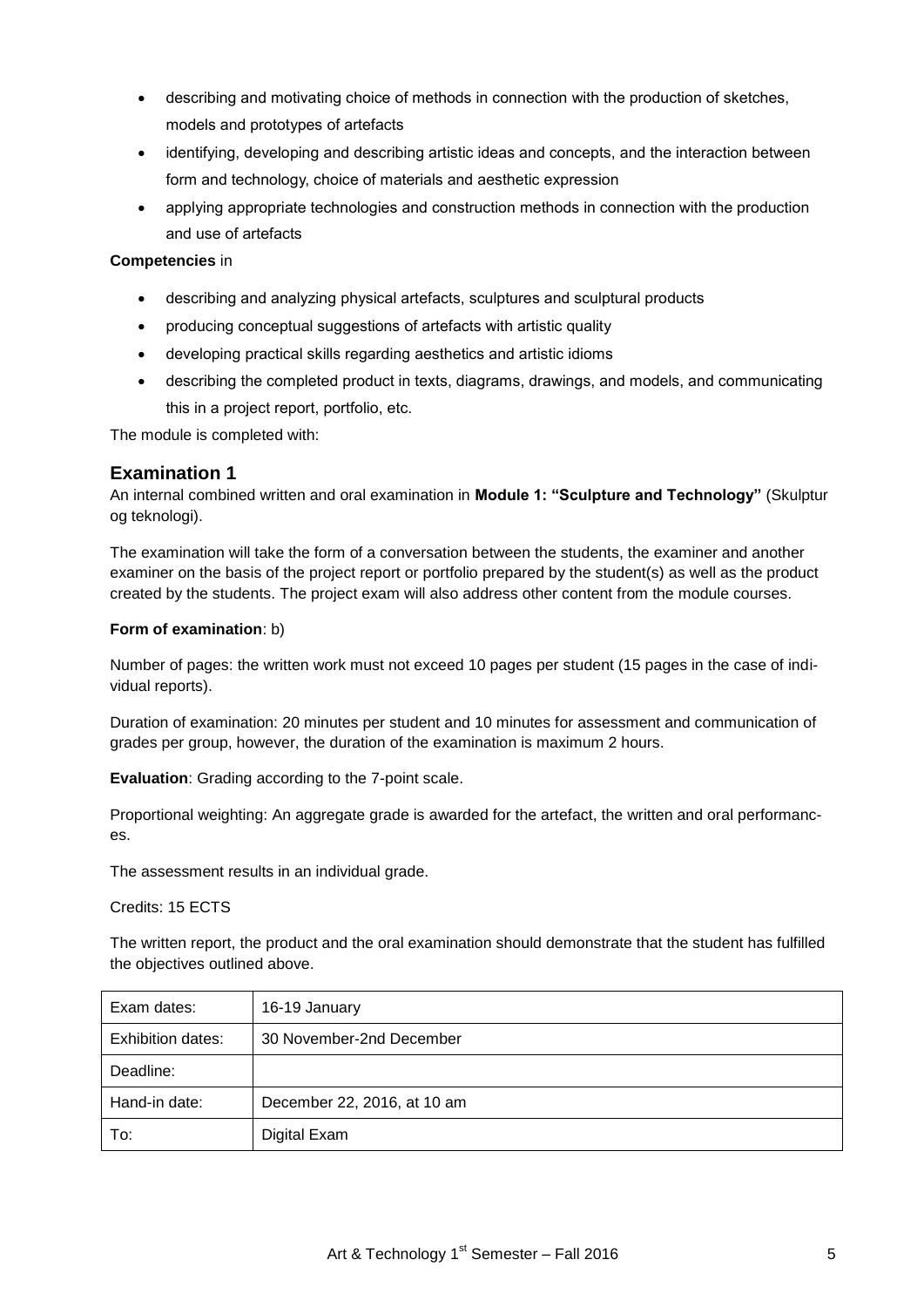- describing and motivating choice of methods in connection with the production of sketches, models and prototypes of artefacts
- identifying, developing and describing artistic ideas and concepts, and the interaction between form and technology, choice of materials and aesthetic expression
- applying appropriate technologies and construction methods in connection with the production and use of artefacts

## **Competencies** in

- describing and analyzing physical artefacts, sculptures and sculptural products
- producing conceptual suggestions of artefacts with artistic quality
- developing practical skills regarding aesthetics and artistic idioms
- describing the completed product in texts, diagrams, drawings, and models, and communicating this in a project report, portfolio, etc.

The module is completed with:

# **Examination 1**

An internal combined written and oral examination in **Module 1: "Sculpture and Technology"** (Skulptur og teknologi).

The examination will take the form of a conversation between the students, the examiner and another examiner on the basis of the project report or portfolio prepared by the student(s) as well as the product created by the students. The project exam will also address other content from the module courses.

## **Form of examination**: b)

Number of pages: the written work must not exceed 10 pages per student (15 pages in the case of individual reports).

Duration of examination: 20 minutes per student and 10 minutes for assessment and communication of grades per group, however, the duration of the examination is maximum 2 hours.

**Evaluation**: Grading according to the 7-point scale.

Proportional weighting: An aggregate grade is awarded for the artefact, the written and oral performances.

The assessment results in an individual grade.

Credits: 15 ECTS

The written report, the product and the oral examination should demonstrate that the student has fulfilled the objectives outlined above.

| Exam dates:       | 16-19 January               |
|-------------------|-----------------------------|
| Exhibition dates: | 30 November-2nd December    |
| Deadline:         |                             |
| Hand-in date:     | December 22, 2016, at 10 am |
| To:               | Digital Exam                |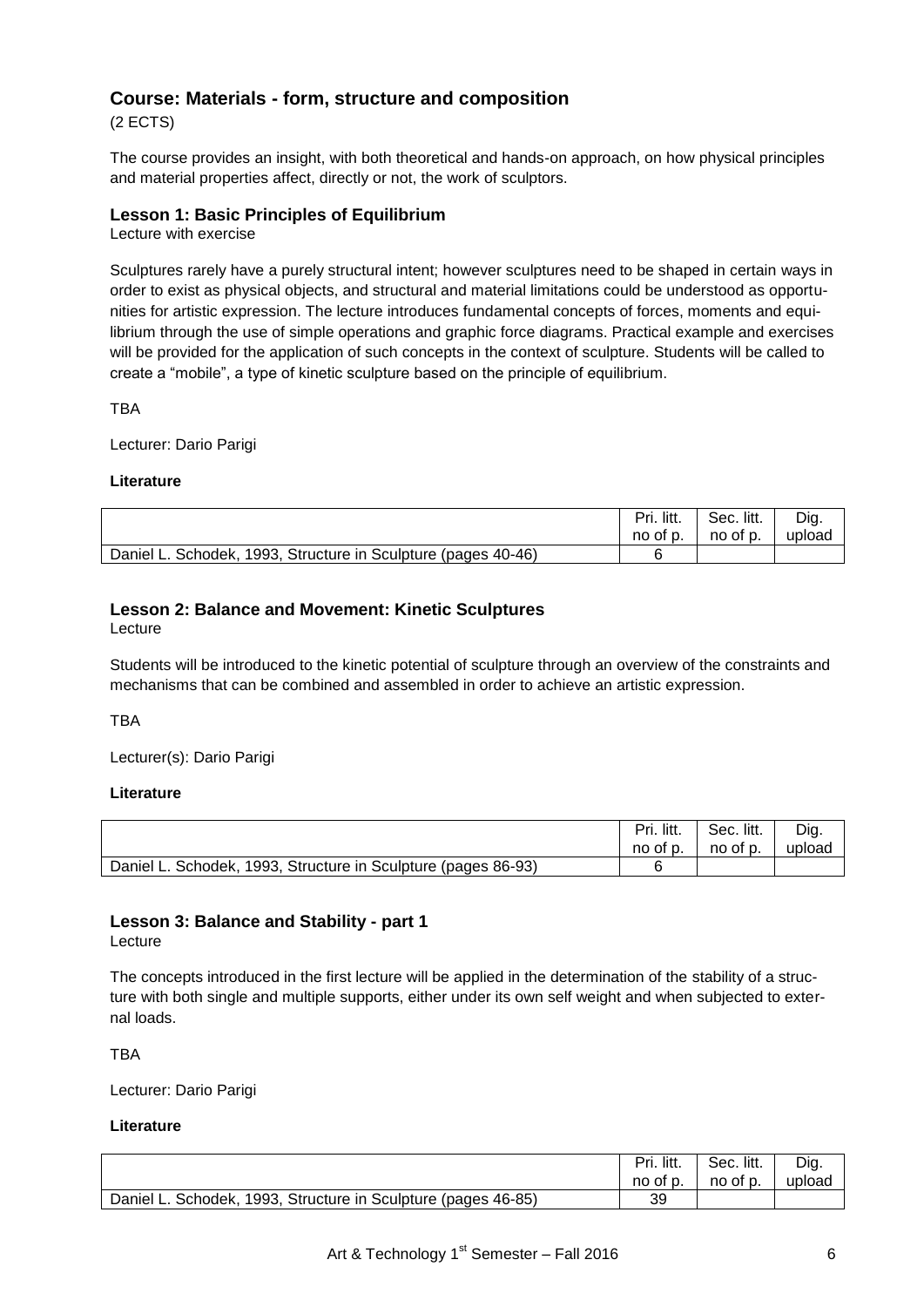# **Course: Materials - form, structure and composition**

(2 ECTS)

The course provides an insight, with both theoretical and hands-on approach, on how physical principles and material properties affect, directly or not, the work of sculptors.

## **Lesson 1: Basic Principles of Equilibrium**

Lecture with exercise

Sculptures rarely have a purely structural intent; however sculptures need to be shaped in certain ways in order to exist as physical objects, and structural and material limitations could be understood as opportunities for artistic expression. The lecture introduces fundamental concepts of forces, moments and equilibrium through the use of simple operations and graphic force diagrams. Practical example and exercises will be provided for the application of such concepts in the context of sculpture. Students will be called to create a "mobile", a type of kinetic sculpture based on the principle of equilibrium.

TBA

Lecturer: Dario Parigi

## **Literature**

|                                                               | Pri. litt. | Sec. litt. | Dig.   |
|---------------------------------------------------------------|------------|------------|--------|
|                                                               | no of p.   | no of p.   | upload |
| Daniel L. Schodek, 1993, Structure in Sculpture (pages 40-46) |            |            |        |

# **Lesson 2: Balance and Movement: Kinetic Sculptures**

Lecture

Students will be introduced to the kinetic potential of sculpture through an overview of the constraints and mechanisms that can be combined and assembled in order to achieve an artistic expression.

**TRA** 

Lecturer(s): Dario Parigi

## **Literature**

|                                                               | litt.<br>Pri.<br>no of p. | Sec. litt.<br>no of p. | Dig.<br>upload |
|---------------------------------------------------------------|---------------------------|------------------------|----------------|
| Daniel L. Schodek, 1993, Structure in Sculpture (pages 86-93) |                           |                        |                |

# **Lesson 3: Balance and Stability - part 1**

Lecture

The concepts introduced in the first lecture will be applied in the determination of the stability of a structure with both single and multiple supports, either under its own self weight and when subjected to external loads.

TBA

Lecturer: Dario Parigi

## **Literature**

|                                                                    | litt.<br>Pri.<br>no of p. | Sec. litt.<br>no of p. | Dig.<br>upload |
|--------------------------------------------------------------------|---------------------------|------------------------|----------------|
| , 1993, Structure in Sculpture (pages 46-85)<br>Daniel L. Schodek. | 39                        |                        |                |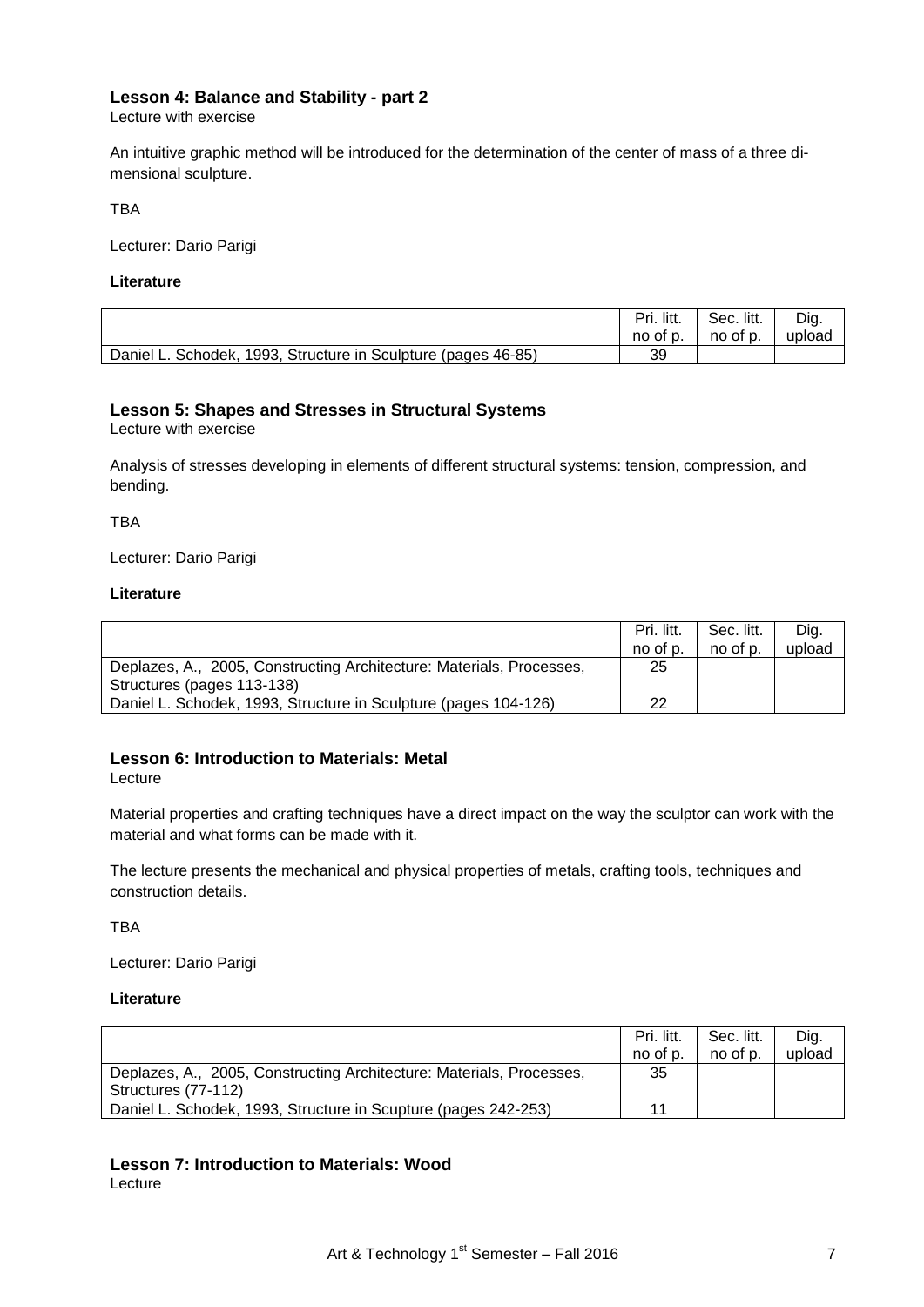## **Lesson 4: Balance and Stability - part 2**

Lecture with exercise

An intuitive graphic method will be introduced for the determination of the center of mass of a three dimensional sculpture.

TBA

Lecturer: Dario Parigi

#### **Literature**

|                                                               | Pri. litt. | Sec. litt. | Dig.   |
|---------------------------------------------------------------|------------|------------|--------|
|                                                               | no of p.   | no of p.   | upload |
| Daniel L. Schodek, 1993, Structure in Sculpture (pages 46-85) | 39         |            |        |

## **Lesson 5: Shapes and Stresses in Structural Systems**

Lecture with exercise

Analysis of stresses developing in elements of different structural systems: tension, compression, and bending.

**TRA** 

Lecturer: Dario Parigi

#### **Literature**

|                                                                                                    | Pri. litt.<br>no of p. | Sec. litt.<br>no of p. | Dig.<br>upload |
|----------------------------------------------------------------------------------------------------|------------------------|------------------------|----------------|
| Deplazes, A., 2005, Constructing Architecture: Materials, Processes,<br>Structures (pages 113-138) | 25                     |                        |                |
| Daniel L. Schodek, 1993, Structure in Sculpture (pages 104-126)                                    | 22                     |                        |                |

## **Lesson 6: Introduction to Materials: Metal**

Lecture

Material properties and crafting techniques have a direct impact on the way the sculptor can work with the material and what forms can be made with it.

The lecture presents the mechanical and physical properties of metals, crafting tools, techniques and construction details.

TBA

Lecturer: Dario Parigi

#### **Literature**

|                                                                                             | Pri. litt.<br>no of p. | Sec. litt.<br>no of p. | Dig.<br>upload |
|---------------------------------------------------------------------------------------------|------------------------|------------------------|----------------|
| Deplazes, A., 2005, Constructing Architecture: Materials, Processes,<br>Structures (77-112) | 35                     |                        |                |
| Daniel L. Schodek, 1993, Structure in Scupture (pages 242-253)                              |                        |                        |                |

## **Lesson 7: Introduction to Materials: Wood**

Lecture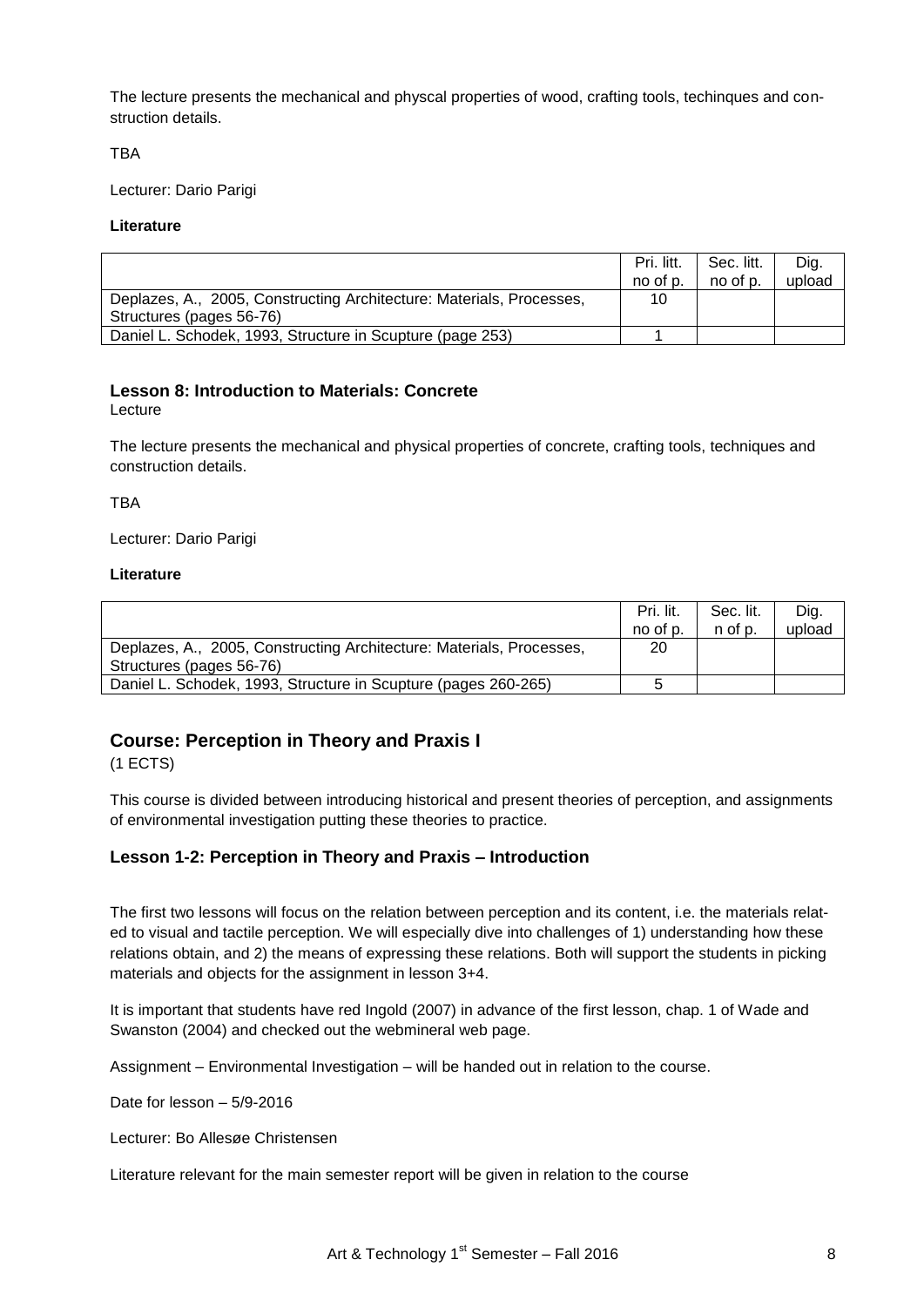The lecture presents the mechanical and physcal properties of wood, crafting tools, techinques and construction details.

**TBA** 

Lecturer: Dario Parigi

#### **Literature**

|                                                                      | Pri. litt.<br>no of p. | Sec. litt.<br>no of p. | Dig.<br>upload |
|----------------------------------------------------------------------|------------------------|------------------------|----------------|
| Deplazes, A., 2005, Constructing Architecture: Materials, Processes, | 10                     |                        |                |
| Structures (pages 56-76)                                             |                        |                        |                |
| Daniel L. Schodek, 1993, Structure in Scupture (page 253)            |                        |                        |                |

# **Lesson 8: Introduction to Materials: Concrete**

Lecture

The lecture presents the mechanical and physical properties of concrete, crafting tools, techniques and construction details.

**TBA** 

Lecturer: Dario Parigi

## **Literature**

|                                                                      | Pri. lit.<br>no of p. | Sec. lit.<br>n of p. | Dig.<br>upload |
|----------------------------------------------------------------------|-----------------------|----------------------|----------------|
| Deplazes, A., 2005, Constructing Architecture: Materials, Processes, | 20                    |                      |                |
| Structures (pages 56-76)                                             |                       |                      |                |
| Daniel L. Schodek, 1993, Structure in Scupture (pages 260-265)       | :5                    |                      |                |

# **Course: Perception in Theory and Praxis I**

(1 ECTS)

This course is divided between introducing historical and present theories of perception, and assignments of environmental investigation putting these theories to practice.

## **Lesson 1-2: Perception in Theory and Praxis – Introduction**

The first two lessons will focus on the relation between perception and its content, i.e. the materials related to visual and tactile perception. We will especially dive into challenges of 1) understanding how these relations obtain, and 2) the means of expressing these relations. Both will support the students in picking materials and objects for the assignment in lesson 3+4.

It is important that students have red Ingold (2007) in advance of the first lesson, chap. 1 of Wade and Swanston (2004) and checked out the webmineral web page.

Assignment – Environmental Investigation – will be handed out in relation to the course.

Date for lesson – 5/9-2016

Lecturer: Bo Allesøe Christensen

Literature relevant for the main semester report will be given in relation to the course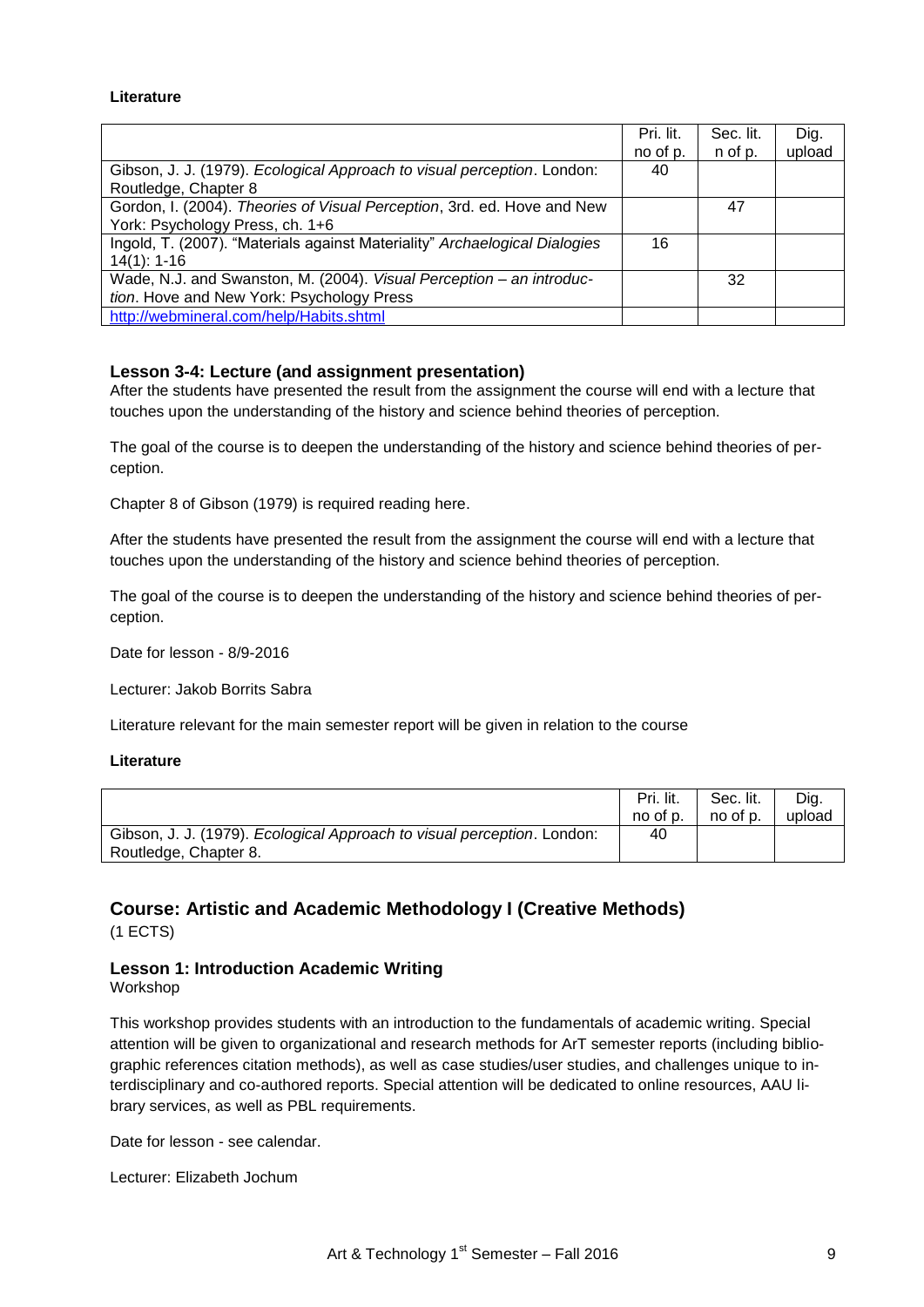#### **Literature**

|                                                                            | Pri. lit. | Sec. lit. | Dig.   |
|----------------------------------------------------------------------------|-----------|-----------|--------|
|                                                                            | no of p.  | n of p.   | upload |
| Gibson, J. J. (1979). Ecological Approach to visual perception. London:    | 40        |           |        |
| Routledge, Chapter 8                                                       |           |           |        |
| Gordon, I. (2004). Theories of Visual Perception, 3rd. ed. Hove and New    |           | 47        |        |
| York: Psychology Press, ch. 1+6                                            |           |           |        |
| Ingold, T. (2007). "Materials against Materiality" Archaelogical Dialogies | 16        |           |        |
| $14(1): 1-16$                                                              |           |           |        |
| Wade, N.J. and Swanston, M. (2004). Visual Perception - an introduc-       |           | 32        |        |
| tion. Hove and New York: Psychology Press                                  |           |           |        |
| http://webmineral.com/help/Habits.shtml                                    |           |           |        |

## **Lesson 3-4: Lecture (and assignment presentation)**

After the students have presented the result from the assignment the course will end with a lecture that touches upon the understanding of the history and science behind theories of perception.

The goal of the course is to deepen the understanding of the history and science behind theories of perception.

Chapter 8 of Gibson (1979) is required reading here.

After the students have presented the result from the assignment the course will end with a lecture that touches upon the understanding of the history and science behind theories of perception.

The goal of the course is to deepen the understanding of the history and science behind theories of perception.

Date for lesson - 8/9-2016

Lecturer: Jakob Borrits Sabra

Literature relevant for the main semester report will be given in relation to the course

#### **Literature**

|                                                                         | Pri. lit.<br>no of p. | Sec. lit.<br>no of p. | Dig.<br>upload |
|-------------------------------------------------------------------------|-----------------------|-----------------------|----------------|
| Gibson, J. J. (1979). Ecological Approach to visual perception. London: | 40                    |                       |                |
| Routledge, Chapter 8.                                                   |                       |                       |                |

## **Course: Artistic and Academic Methodology I (Creative Methods)**  (1 ECTS)

# **Lesson 1: Introduction Academic Writing**

Workshop

This workshop provides students with an introduction to the fundamentals of academic writing. Special attention will be given to organizational and research methods for ArT semester reports (including bibliographic references citation methods), as well as case studies/user studies, and challenges unique to interdisciplinary and co-authored reports. Special attention will be dedicated to online resources, AAU library services, as well as PBL requirements.

Date for lesson - see calendar.

Lecturer: Elizabeth Jochum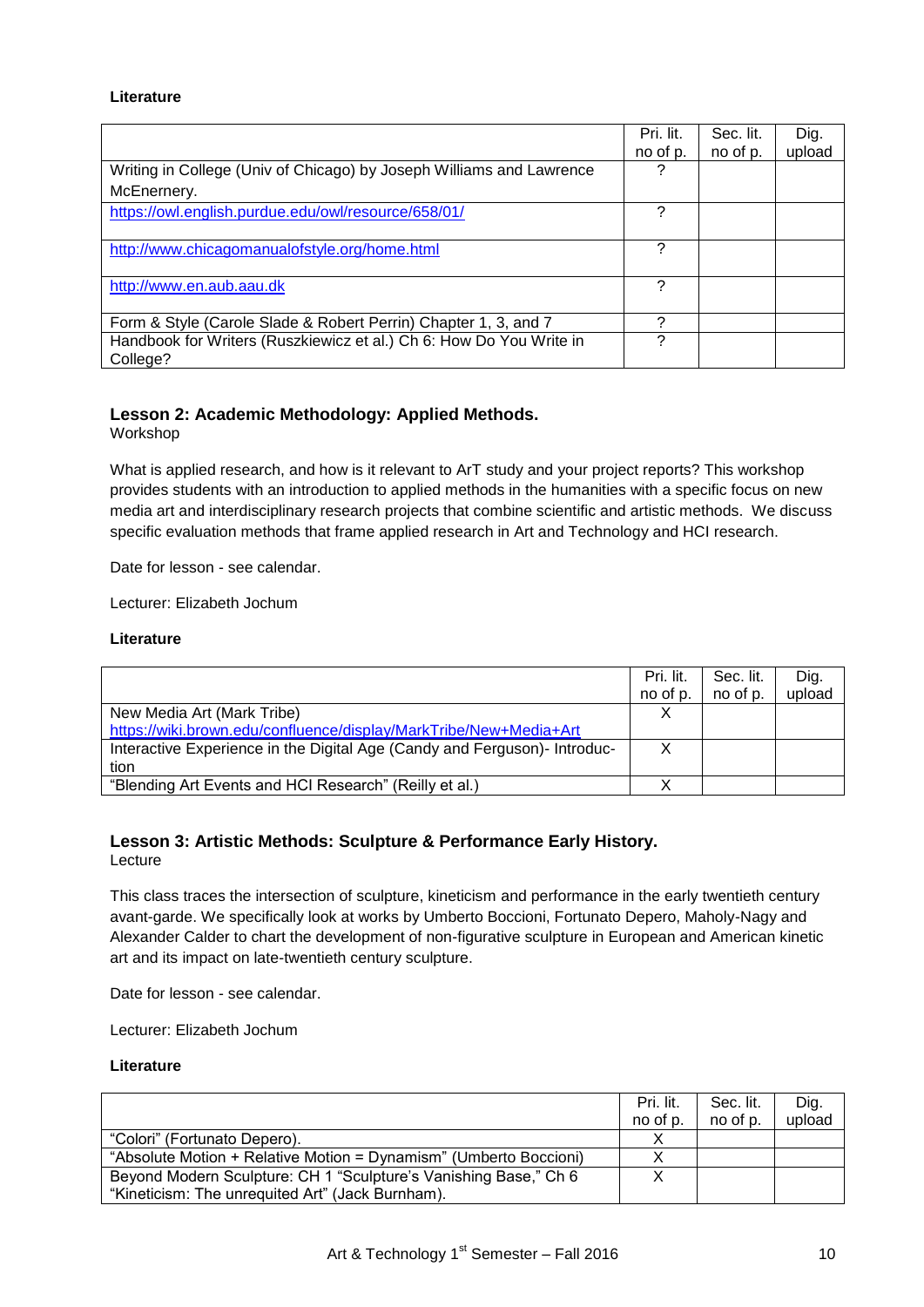#### **Literature**

|                                                                      | Pri. lit. | Sec. lit. | Dig.   |
|----------------------------------------------------------------------|-----------|-----------|--------|
|                                                                      | no of p.  | no of p.  | upload |
| Writing in College (Univ of Chicago) by Joseph Williams and Lawrence | ?         |           |        |
| McEnernery.                                                          |           |           |        |
| https://owl.english.purdue.edu/owl/resource/658/01/                  | 7         |           |        |
|                                                                      | ?         |           |        |
| http://www.chicagomanualofstyle.org/home.html                        |           |           |        |
| http://www.en.aub.aau.dk                                             | ?         |           |        |
|                                                                      |           |           |        |
| Form & Style (Carole Slade & Robert Perrin) Chapter 1, 3, and 7      | っ         |           |        |
| Handbook for Writers (Ruszkiewicz et al.) Ch 6: How Do You Write in  | 2         |           |        |
| College?                                                             |           |           |        |

# **Lesson 2: Academic Methodology: Applied Methods.**

Workshop

What is applied research, and how is it relevant to ArT study and your project reports? This workshop provides students with an introduction to applied methods in the humanities with a specific focus on new media art and interdisciplinary research projects that combine scientific and artistic methods. We discuss specific evaluation methods that frame applied research in Art and Technology and HCI research.

Date for lesson - see calendar.

Lecturer: Elizabeth Jochum

## **Literature**

|                                                                           | Pri. lit. | Sec. lit. | Dig.   |
|---------------------------------------------------------------------------|-----------|-----------|--------|
|                                                                           | no of p.  | no of p.  | upload |
| New Media Art (Mark Tribe)                                                | X         |           |        |
| https://wiki.brown.edu/confluence/display/MarkTribe/New+Media+Art         |           |           |        |
| Interactive Experience in the Digital Age (Candy and Ferguson)- Introduc- | Χ         |           |        |
| tion                                                                      |           |           |        |
| "Blending Art Events and HCI Research" (Reilly et al.)                    |           |           |        |

# **Lesson 3: Artistic Methods: Sculpture & Performance Early History.**

Lecture

This class traces the intersection of sculpture, kineticism and performance in the early twentieth century avant-garde. We specifically look at works by Umberto Boccioni, Fortunato Depero, Maholy-Nagy and Alexander Calder to chart the development of non-figurative sculpture in European and American kinetic art and its impact on late-twentieth century sculpture.

Date for lesson - see calendar.

Lecturer: Elizabeth Jochum

#### **Literature**

|                                                                   | Pri. lit. | Sec. lit. | Dig.   |
|-------------------------------------------------------------------|-----------|-----------|--------|
|                                                                   | no of p.  | no of p.  | upload |
| "Colori" (Fortunato Depero).                                      |           |           |        |
| "Absolute Motion + Relative Motion = Dynamism" (Umberto Boccioni) |           |           |        |
| Beyond Modern Sculpture: CH 1 "Sculpture's Vanishing Base," Ch 6  |           |           |        |
| "Kineticism: The unrequited Art" (Jack Burnham).                  |           |           |        |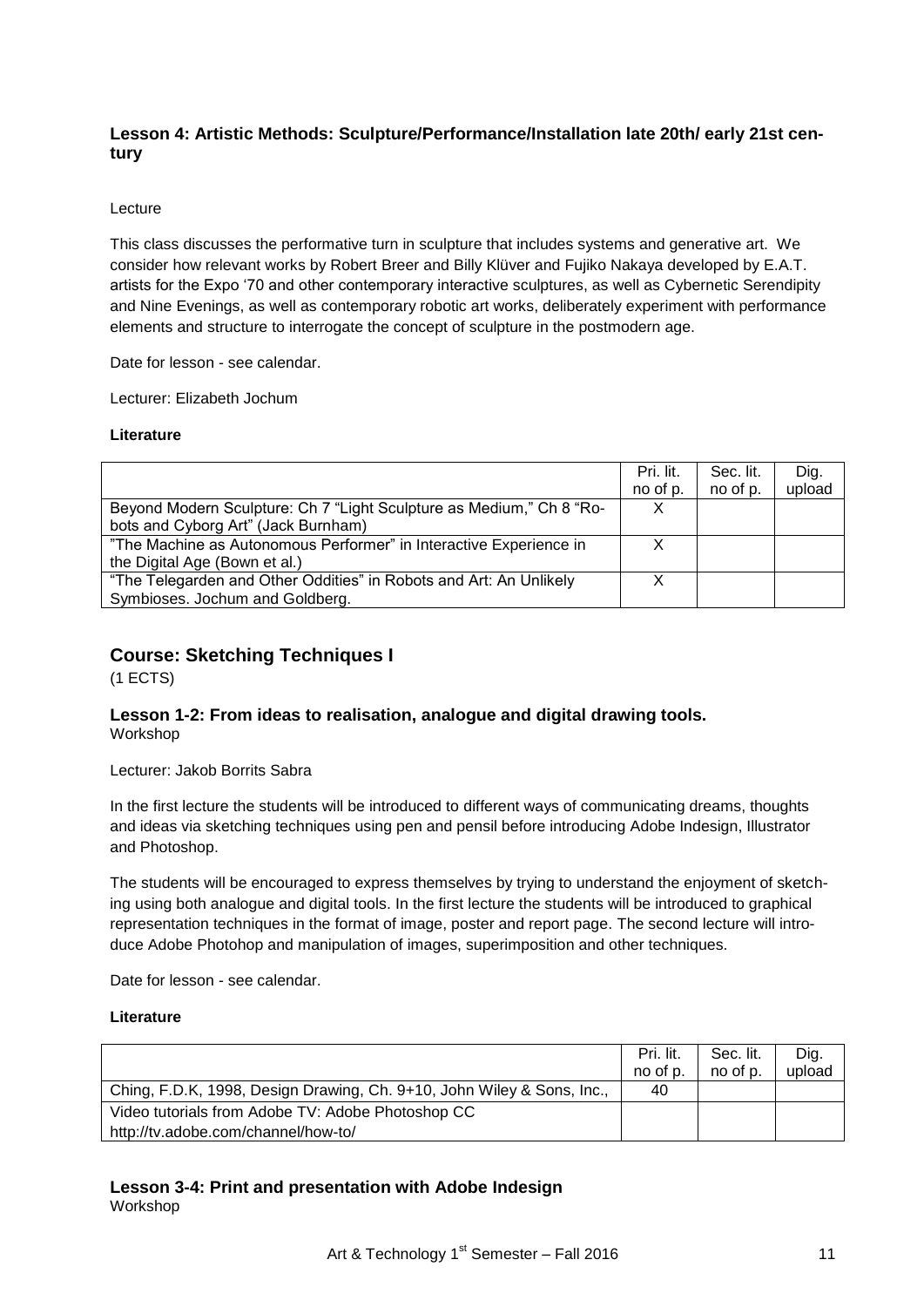# **Lesson 4: Artistic Methods: Sculpture/Performance/Installation late 20th/ early 21st century**

## Lecture

This class discusses the performative turn in sculpture that includes systems and generative art. We consider how relevant works by Robert Breer and Billy Klüver and Fujiko Nakaya developed by E.A.T. artists for the Expo "70 and other contemporary interactive sculptures, as well as Cybernetic Serendipity and Nine Evenings, as well as contemporary robotic art works, deliberately experiment with performance elements and structure to interrogate the concept of sculpture in the postmodern age.

Date for lesson - see calendar.

Lecturer: Elizabeth Jochum

#### **Literature**

|                                                                      | Pri. lit.<br>no of p. | Sec. lit.<br>no of p. | Dig.<br>upload |
|----------------------------------------------------------------------|-----------------------|-----------------------|----------------|
| Beyond Modern Sculpture: Ch 7 "Light Sculpture as Medium," Ch 8 "Ro- | X                     |                       |                |
| bots and Cyborg Art" (Jack Burnham)                                  |                       |                       |                |
| "The Machine as Autonomous Performer" in Interactive Experience in   |                       |                       |                |
| the Digital Age (Bown et al.)                                        |                       |                       |                |
| "The Telegarden and Other Oddities" in Robots and Art: An Unlikely   | X                     |                       |                |
| Symbioses. Jochum and Goldberg.                                      |                       |                       |                |

# **Course: Sketching Techniques I**

(1 ECTS)

## **Lesson 1-2: From ideas to realisation, analogue and digital drawing tools.** Workshop

Lecturer: Jakob Borrits Sabra

In the first lecture the students will be introduced to different ways of communicating dreams, thoughts and ideas via sketching techniques using pen and pensil before introducing Adobe Indesign, Illustrator and Photoshop.

The students will be encouraged to express themselves by trying to understand the enjoyment of sketching using both analogue and digital tools. In the first lecture the students will be introduced to graphical representation techniques in the format of image, poster and report page. The second lecture will introduce Adobe Photohop and manipulation of images, superimposition and other techniques.

Date for lesson - see calendar.

## **Literature**

|                                                                        | Pri. lit.<br>no of p. | Sec. lit.<br>no of p. | Dig.<br>upload |
|------------------------------------------------------------------------|-----------------------|-----------------------|----------------|
| Ching, F.D.K, 1998, Design Drawing, Ch. 9+10, John Wiley & Sons, Inc., | 40                    |                       |                |
| Video tutorials from Adobe TV: Adobe Photoshop CC                      |                       |                       |                |
| http://tv.adobe.com/channel/how-to/                                    |                       |                       |                |

#### **Lesson 3-4: Print and presentation with Adobe Indesign** Workshop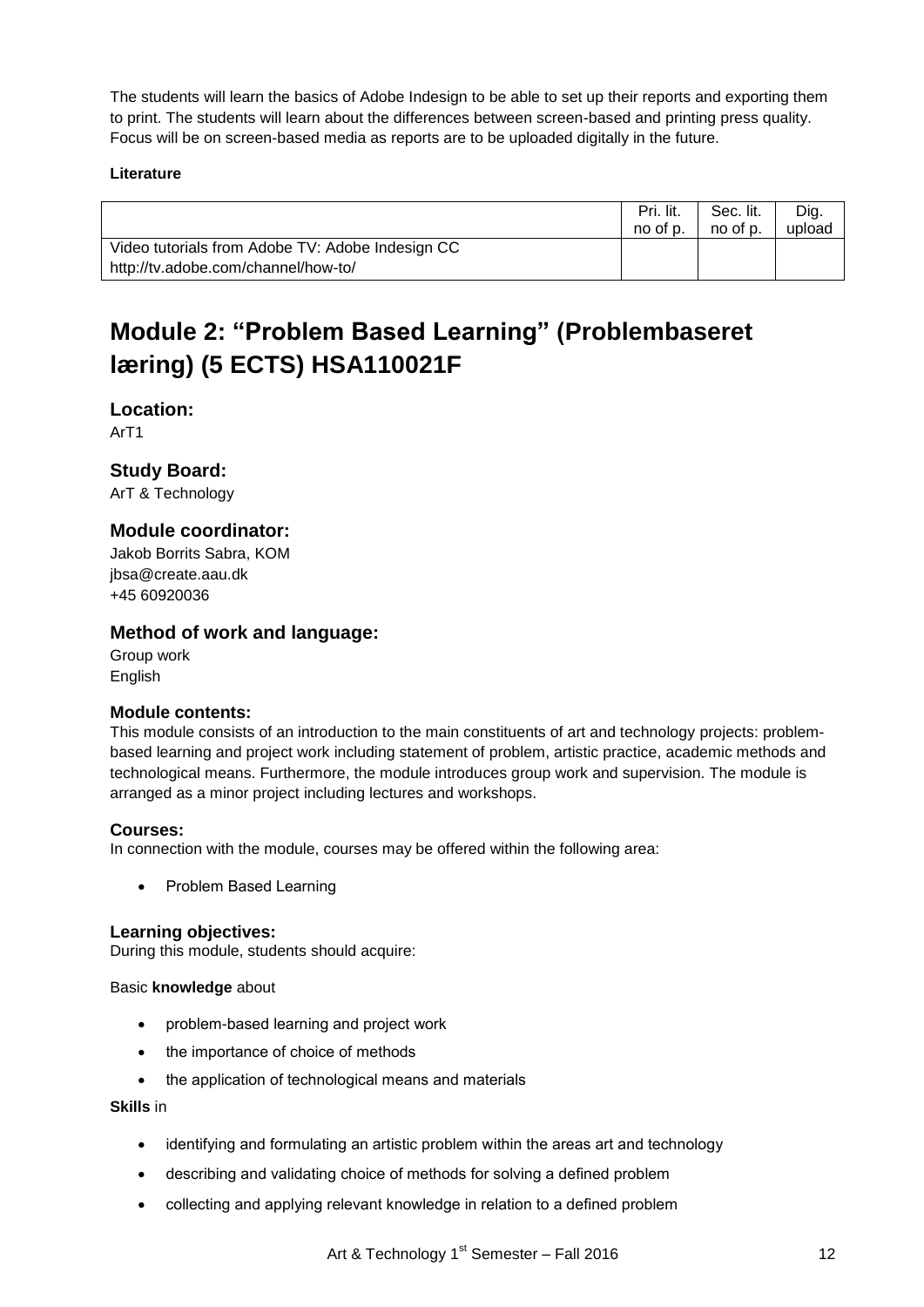The students will learn the basics of Adobe Indesign to be able to set up their reports and exporting them to print. The students will learn about the differences between screen-based and printing press quality. Focus will be on screen-based media as reports are to be uploaded digitally in the future.

## **Literature**

|                                                  | Pri. lit.<br>no of p. | Sec. lit.<br>no of p. | Dig.<br>upload |
|--------------------------------------------------|-----------------------|-----------------------|----------------|
| Video tutorials from Adobe TV: Adobe Indesign CC |                       |                       |                |
| http://tv.adobe.com/channel/how-to/              |                       |                       |                |

# **Module 2: "Problem Based Learning" (Problembaseret læring) (5 ECTS) HSA110021F**

**Location:**

ArT1

## **Study Board:**

ArT & Technology

# **Module coordinator:**

Jakob Borrits Sabra, KOM jbsa@create.aau.dk +45 60920036

## **Method of work and language:**

Group work English

## **Module contents:**

This module consists of an introduction to the main constituents of art and technology projects: problembased learning and project work including statement of problem, artistic practice, academic methods and technological means. Furthermore, the module introduces group work and supervision. The module is arranged as a minor project including lectures and workshops.

## **Courses:**

In connection with the module, courses may be offered within the following area:

• Problem Based Learning

## **Learning objectives:**

During this module, students should acquire:

Basic **knowledge** about

- problem-based learning and project work
- the importance of choice of methods
- the application of technological means and materials

## **Skills** in

- identifying and formulating an artistic problem within the areas art and technology
- describing and validating choice of methods for solving a defined problem
- collecting and applying relevant knowledge in relation to a defined problem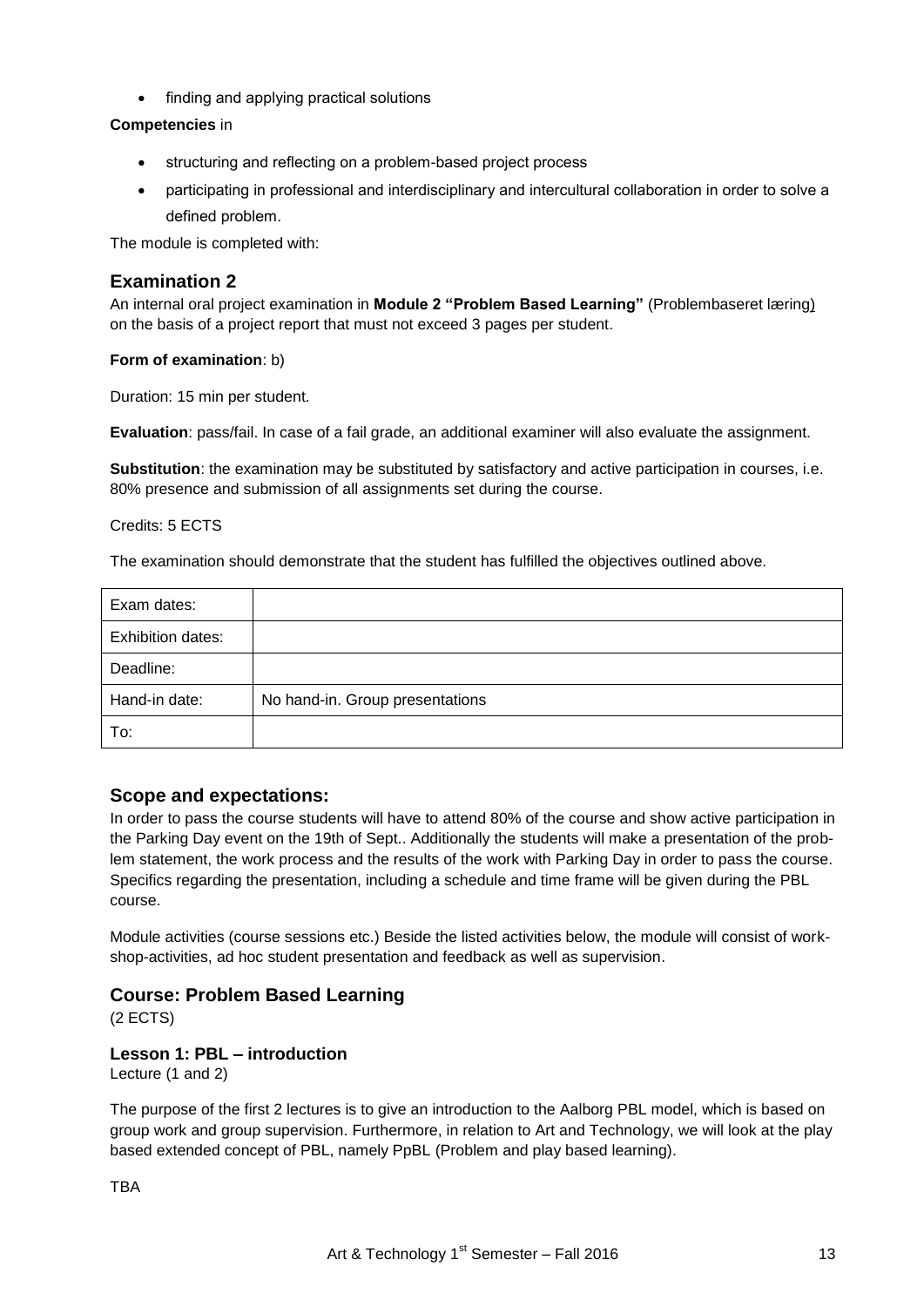• finding and applying practical solutions

## **Competencies** in

- structuring and reflecting on a problem-based project process
- participating in professional and interdisciplinary and intercultural collaboration in order to solve a defined problem.

The module is completed with:

# **Examination 2**

An internal oral project examination in **Module 2 "Problem Based Learning"** (Problembaseret læring) on the basis of a project report that must not exceed 3 pages per student.

## **Form of examination**: b)

Duration: 15 min per student.

**Evaluation**: pass/fail. In case of a fail grade, an additional examiner will also evaluate the assignment.

**Substitution**: the examination may be substituted by satisfactory and active participation in courses, i.e. 80% presence and submission of all assignments set during the course.

## Credits: 5 ECTS

The examination should demonstrate that the student has fulfilled the objectives outlined above.

| Exam dates:              |                                 |
|--------------------------|---------------------------------|
| <b>Exhibition dates:</b> |                                 |
| Deadline:                |                                 |
| Hand-in date:            | No hand-in. Group presentations |
| To:                      |                                 |

# **Scope and expectations:**

In order to pass the course students will have to attend 80% of the course and show active participation in the Parking Day event on the 19th of Sept.. Additionally the students will make a presentation of the problem statement, the work process and the results of the work with Parking Day in order to pass the course. Specifics regarding the presentation, including a schedule and time frame will be given during the PBL course.

Module activities (course sessions etc.) Beside the listed activities below, the module will consist of workshop-activities, ad hoc student presentation and feedback as well as supervision.

# **Course: Problem Based Learning**

(2 ECTS)

## **Lesson 1: PBL – introduction**

Lecture (1 and 2)

The purpose of the first 2 lectures is to give an introduction to the Aalborg PBL model, which is based on group work and group supervision. Furthermore, in relation to Art and Technology, we will look at the play based extended concept of PBL, namely PpBL (Problem and play based learning).

**TRA**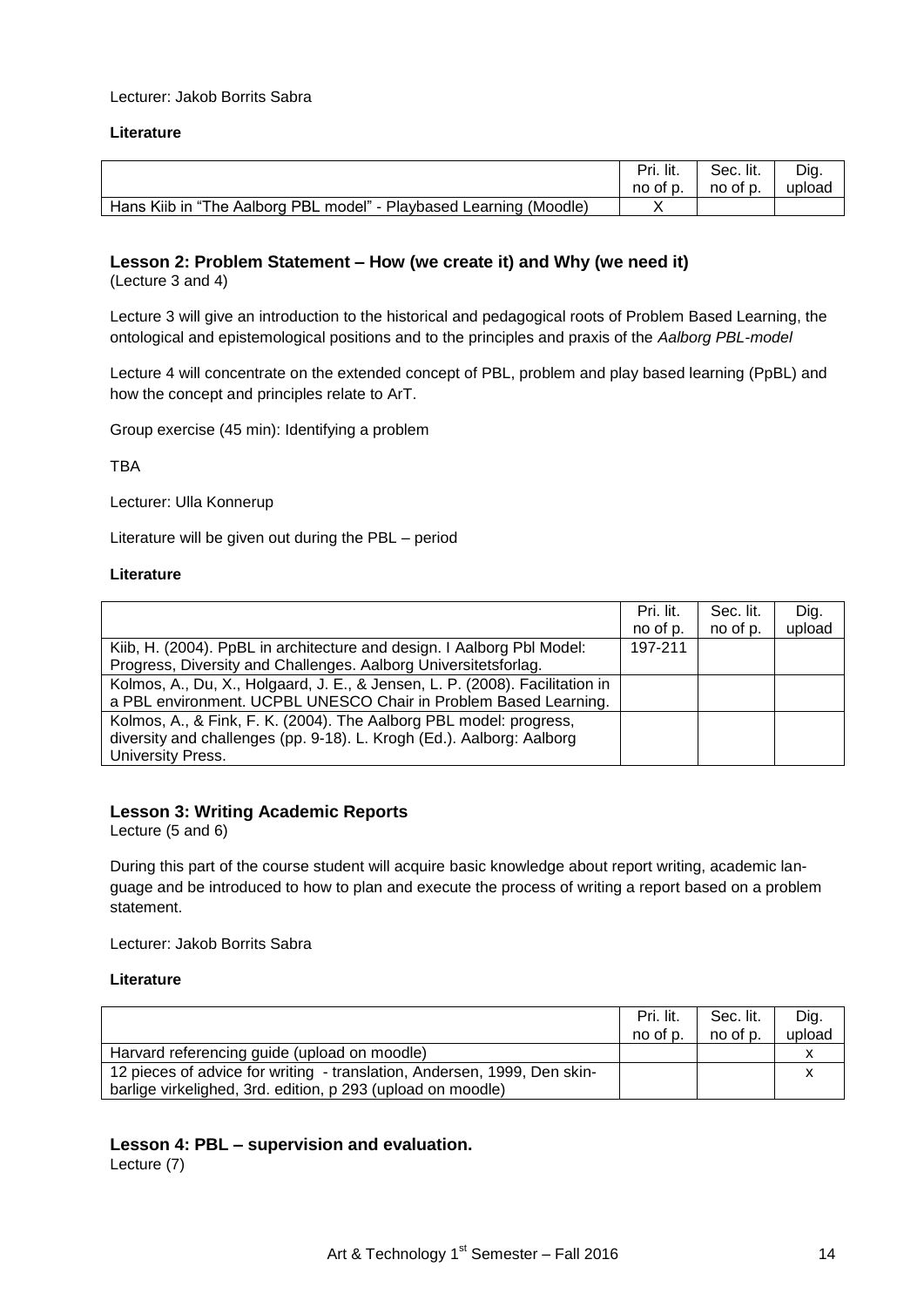#### Lecturer: Jakob Borrits Sabra

#### **Literature**

|                                                                    | Pri. lit. | Sec. lit. | Dig.   |
|--------------------------------------------------------------------|-----------|-----------|--------|
|                                                                    | no of p.  | no of p.  | upload |
| Hans Kiib in "The Aalborg PBL model" - Playbased Learning (Moodle) |           |           |        |

## **Lesson 2: Problem Statement – How (we create it) and Why (we need it)**

(Lecture 3 and 4)

Lecture 3 will give an introduction to the historical and pedagogical roots of Problem Based Learning, the ontological and epistemological positions and to the principles and praxis of the *Aalborg PBL-model*

Lecture 4 will concentrate on the extended concept of PBL, problem and play based learning (PpBL) and how the concept and principles relate to ArT.

Group exercise (45 min): Identifying a problem

TBA

Lecturer: Ulla Konnerup

Literature will be given out during the PBL – period

#### **Literature**

|                                                                              | Pri. lit. | Sec. lit. | Dig.   |
|------------------------------------------------------------------------------|-----------|-----------|--------|
|                                                                              | no of p.  | no of p.  | upload |
| Kiib, H. (2004). PpBL in architecture and design. I Aalborg PbI Model:       | 197-211   |           |        |
| Progress, Diversity and Challenges. Aalborg Universitetsforlag.              |           |           |        |
| Kolmos, A., Du, X., Holgaard, J. E., & Jensen, L. P. (2008). Facilitation in |           |           |        |
| a PBL environment. UCPBL UNESCO Chair in Problem Based Learning.             |           |           |        |
| Kolmos, A., & Fink, F. K. (2004). The Aalborg PBL model: progress,           |           |           |        |
| diversity and challenges (pp. 9-18). L. Krogh (Ed.). Aalborg: Aalborg        |           |           |        |
| University Press.                                                            |           |           |        |

## **Lesson 3: Writing Academic Reports**

Lecture (5 and 6)

During this part of the course student will acquire basic knowledge about report writing, academic language and be introduced to how to plan and execute the process of writing a report based on a problem statement.

Lecturer: Jakob Borrits Sabra

#### **Literature**

|                                                                          | Pri. lit. | Sec. lit. | Dig.   |
|--------------------------------------------------------------------------|-----------|-----------|--------|
|                                                                          | no of p.  | no of p.  | upload |
| Harvard referencing guide (upload on moodle)                             |           |           |        |
| 12 pieces of advice for writing - translation, Andersen, 1999, Den skin- |           |           |        |
| barlige virkelighed, 3rd. edition, p 293 (upload on moodle)              |           |           |        |

## **Lesson 4: PBL – supervision and evaluation.**

Lecture (7)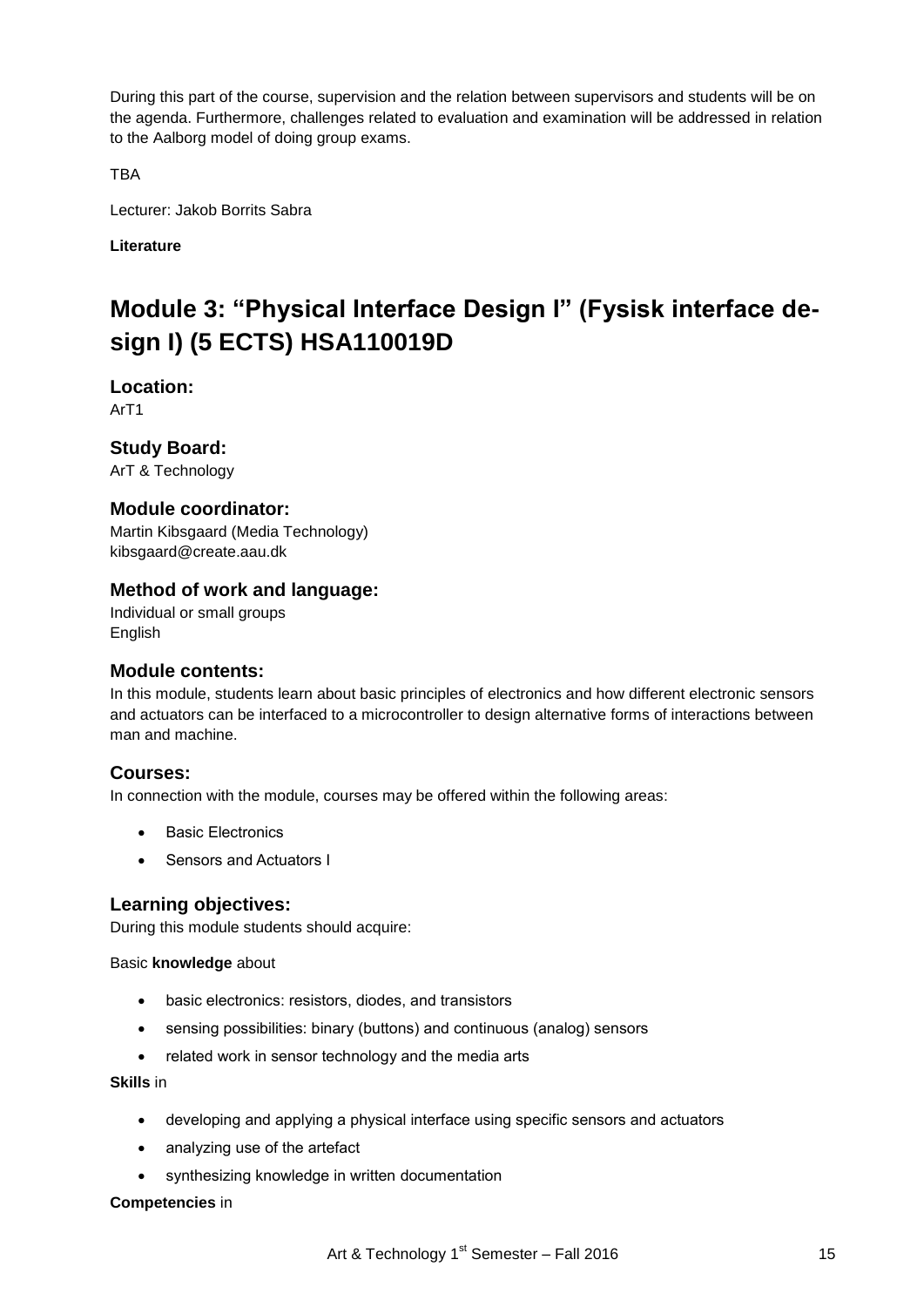During this part of the course, supervision and the relation between supervisors and students will be on the agenda. Furthermore, challenges related to evaluation and examination will be addressed in relation to the Aalborg model of doing group exams.

TBA

Lecturer: Jakob Borrits Sabra

**Literature**

# **Module 3: "Physical Interface Design I" (Fysisk interface design I) (5 ECTS) HSA110019D**

**Location:**

ArT1

**Study Board:**

ArT & Technology

# **Module coordinator:**

Martin Kibsgaard (Media Technology) kibsgaard@create.aau.dk

# **Method of work and language:**

Individual or small groups English

## **Module contents:**

In this module, students learn about basic principles of electronics and how different electronic sensors and actuators can be interfaced to a microcontroller to design alternative forms of interactions between man and machine.

## **Courses:**

In connection with the module, courses may be offered within the following areas:

- Basic Electronics
- Sensors and Actuators I

## **Learning objectives:**

During this module students should acquire:

Basic **knowledge** about

- basic electronics: resistors, diodes, and transistors
- sensing possibilities: binary (buttons) and continuous (analog) sensors
- related work in sensor technology and the media arts

## **Skills** in

- developing and applying a physical interface using specific sensors and actuators
- analyzing use of the artefact
- synthesizing knowledge in written documentation

## **Competencies** in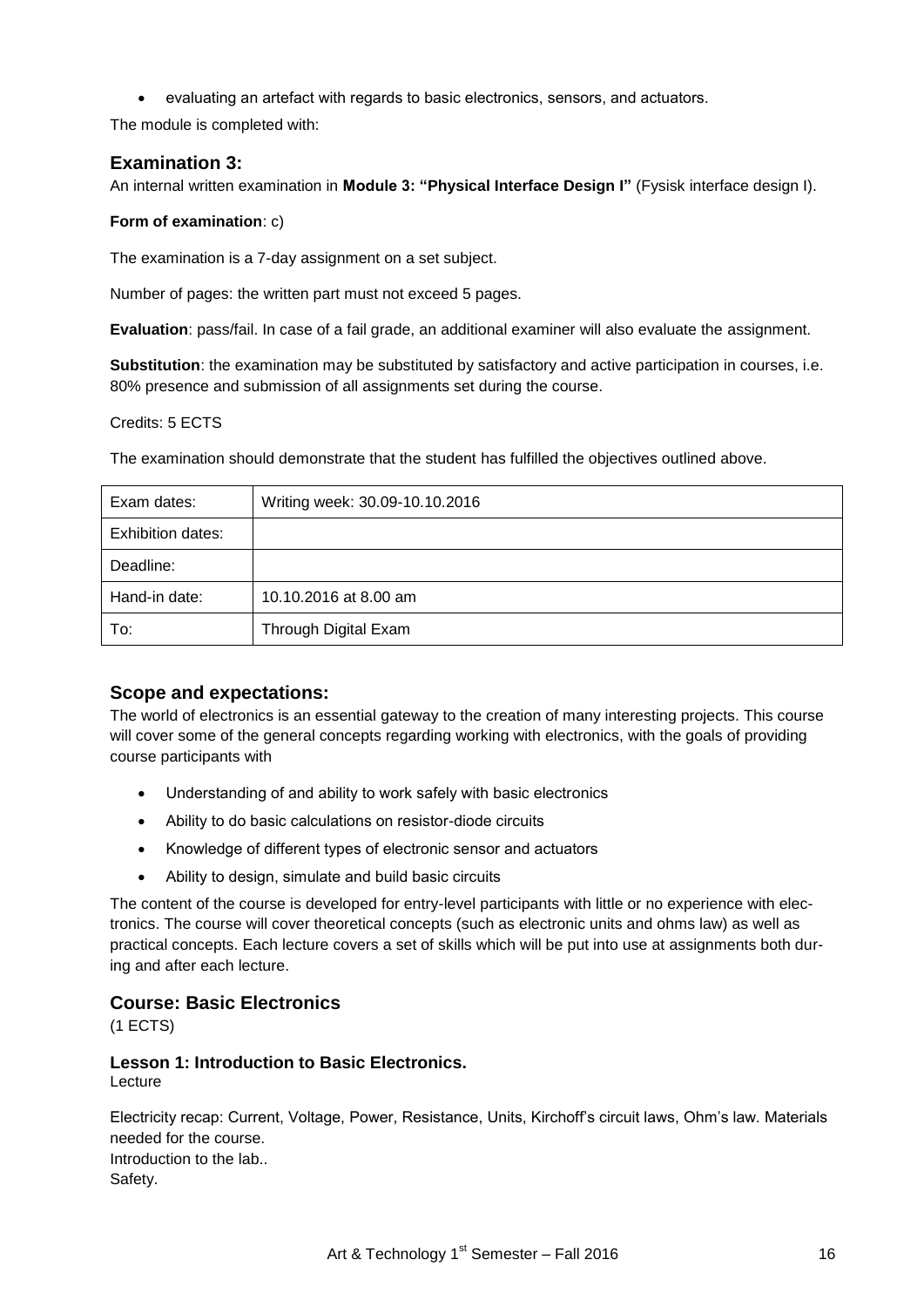evaluating an artefact with regards to basic electronics, sensors, and actuators.

The module is completed with:

## **Examination 3:**

An internal written examination in **Module 3: "Physical Interface Design I"** (Fysisk interface design I).

## **Form of examination**: c)

The examination is a 7-day assignment on a set subject.

Number of pages: the written part must not exceed 5 pages.

**Evaluation**: pass/fail. In case of a fail grade, an additional examiner will also evaluate the assignment.

**Substitution**: the examination may be substituted by satisfactory and active participation in courses, i.e. 80% presence and submission of all assignments set during the course.

## Credits: 5 ECTS

The examination should demonstrate that the student has fulfilled the objectives outlined above.

| Exam dates:              | Writing week: 30.09-10.10.2016 |
|--------------------------|--------------------------------|
| <b>Exhibition dates:</b> |                                |
| Deadline:                |                                |
| Hand-in date:            | 10.10.2016 at 8.00 am          |
| To:                      | Through Digital Exam           |

## **Scope and expectations:**

The world of electronics is an essential gateway to the creation of many interesting projects. This course will cover some of the general concepts regarding working with electronics, with the goals of providing course participants with

- Understanding of and ability to work safely with basic electronics
- Ability to do basic calculations on resistor-diode circuits
- Knowledge of different types of electronic sensor and actuators
- Ability to design, simulate and build basic circuits

The content of the course is developed for entry-level participants with little or no experience with electronics. The course will cover theoretical concepts (such as electronic units and ohms law) as well as practical concepts. Each lecture covers a set of skills which will be put into use at assignments both during and after each lecture.

## **Course: Basic Electronics**

(1 ECTS)

# **Lesson 1: Introduction to Basic Electronics.**

Lecture

Electricity recap: Current, Voltage, Power, Resistance, Units, Kirchoff"s circuit laws, Ohm"s law. Materials needed for the course. Introduction to the lab.. Safety.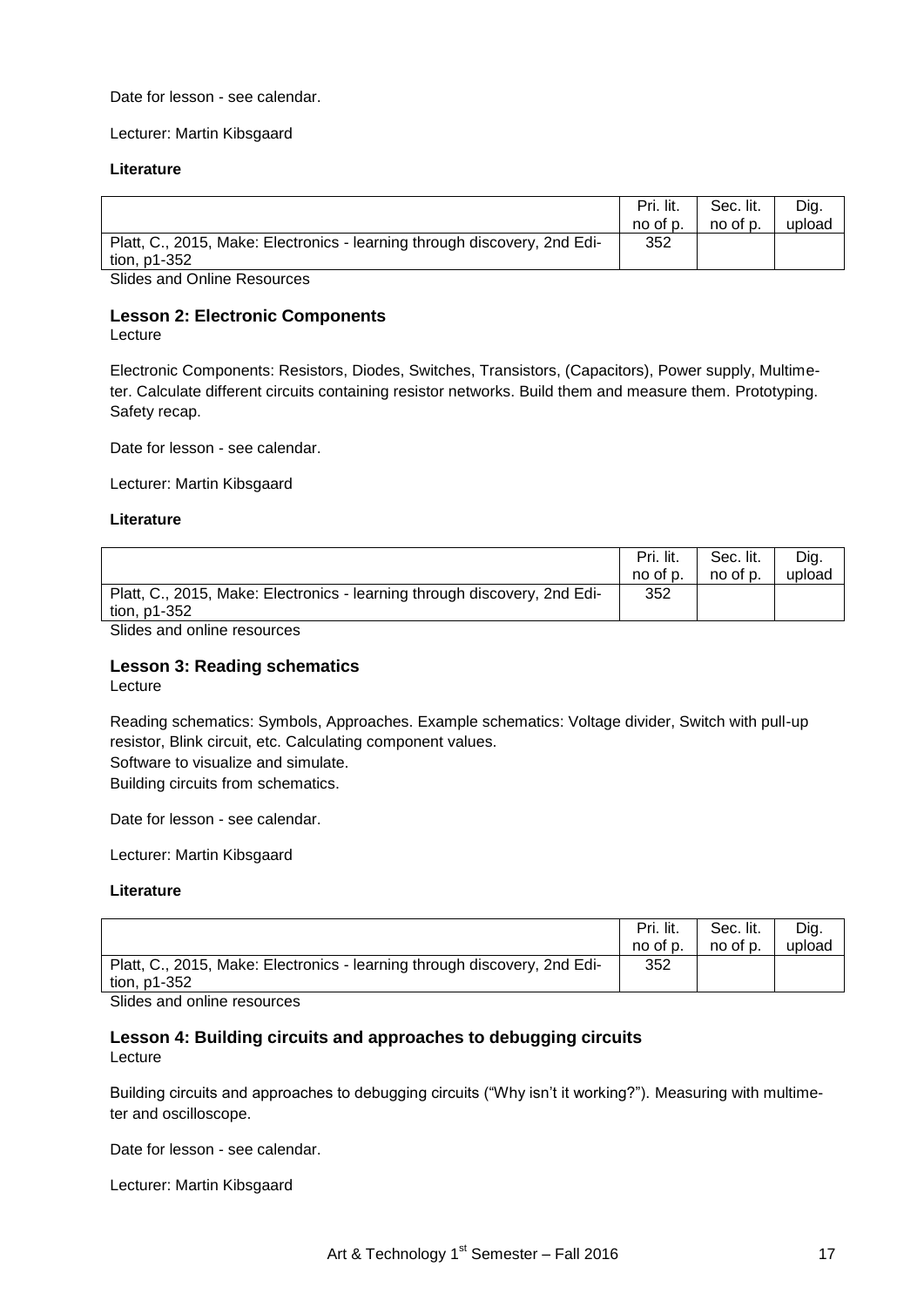Date for lesson - see calendar.

Lecturer: Martin Kibsgaard

#### **Literature**

|                                                                           | Pri. lit. | Sec. lit. | Dig.   |
|---------------------------------------------------------------------------|-----------|-----------|--------|
|                                                                           | no of p.  | no of p.  | upload |
| Platt, C., 2015, Make: Electronics - learning through discovery, 2nd Edi- | 352       |           |        |
| tion, p1-352                                                              |           |           |        |
| Clidge and Online Descurses                                               |           |           |        |

Slides and Online Resources

## **Lesson 2: Electronic Components**

Lecture

Electronic Components: Resistors, Diodes, Switches, Transistors, (Capacitors), Power supply, Multimeter. Calculate different circuits containing resistor networks. Build them and measure them. Prototyping. Safety recap.

Date for lesson - see calendar.

Lecturer: Martin Kibsgaard

#### **Literature**

|                                                                           | Pri. lit. | Sec. lit. | Dig.   |
|---------------------------------------------------------------------------|-----------|-----------|--------|
|                                                                           | no of p.  | no of p.  | upload |
| Platt, C., 2015, Make: Electronics - learning through discovery, 2nd Edi- | 352       |           |        |
| tion, p1-352                                                              |           |           |        |
| Other and sufficients are consider                                        |           |           |        |

Slides and online resources

## **Lesson 3: Reading schematics**

Lecture

Reading schematics: Symbols, Approaches. Example schematics: Voltage divider, Switch with pull-up resistor, Blink circuit, etc. Calculating component values. Software to visualize and simulate. Building circuits from schematics.

Date for lesson - see calendar.

Lecturer: Martin Kibsgaard

#### **Literature**

|                                                                           | Pri. lit. | Sec. lit. | Dig.   |
|---------------------------------------------------------------------------|-----------|-----------|--------|
|                                                                           | no of p.  | no of p.  | upload |
| Platt, C., 2015, Make: Electronics - learning through discovery, 2nd Edi- | 352       |           |        |
| tion, p1-352                                                              |           |           |        |
| Clides and online resources                                               |           |           |        |

Slides and online resources

# **Lesson 4: Building circuits and approaches to debugging circuits**

Lecture

Building circuits and approaches to debugging circuits ("Why isn"t it working?"). Measuring with multimeter and oscilloscope.

Date for lesson - see calendar.

Lecturer: Martin Kibsgaard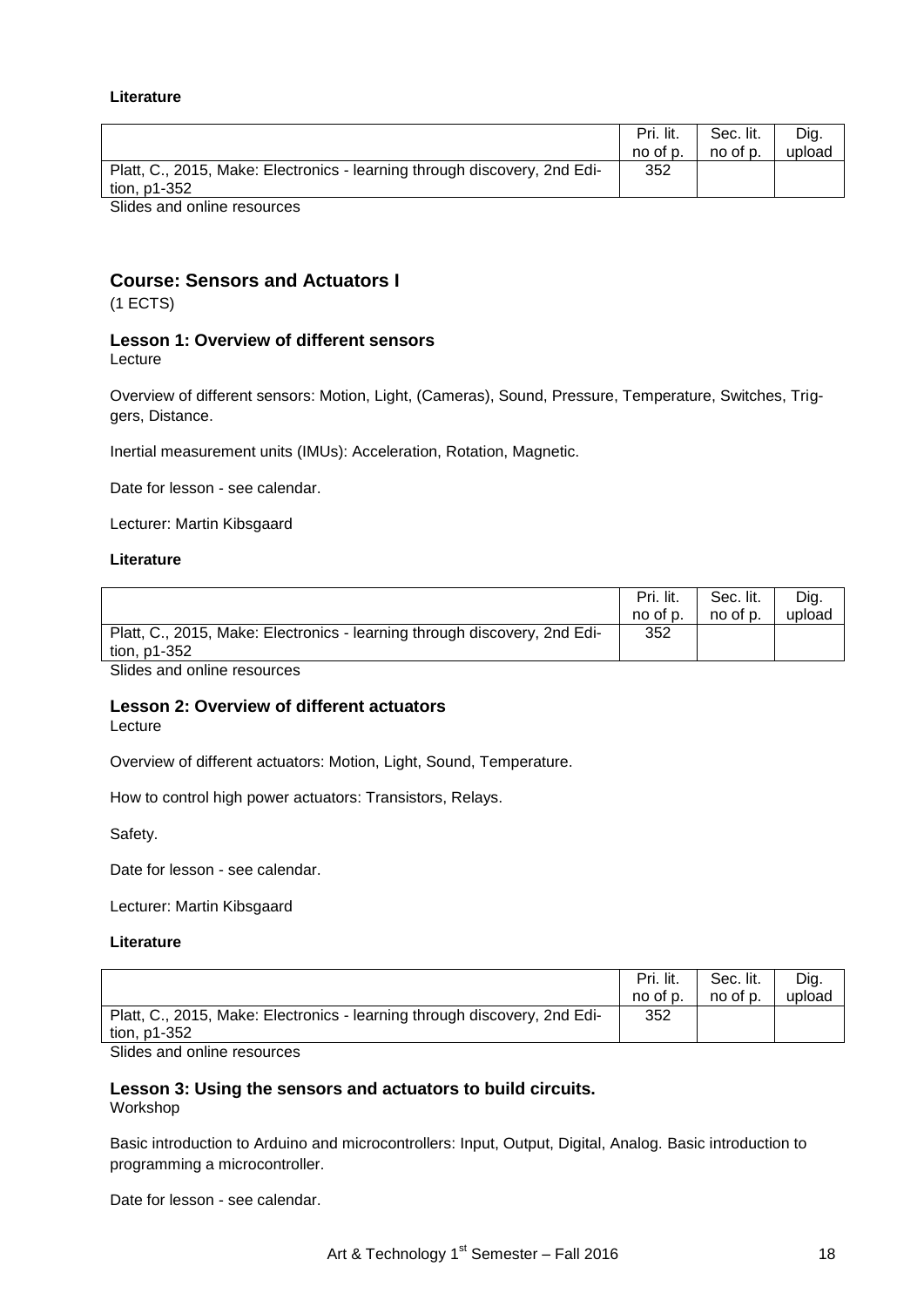#### **Literature**

|                                                                                           | Pri. lit.<br>no of p. | Sec. lit.<br>no of p. | Dia.<br>upload |
|-------------------------------------------------------------------------------------------|-----------------------|-----------------------|----------------|
| Platt, C., 2015, Make: Electronics - learning through discovery, 2nd Edi-<br>tion, p1-352 | 352                   |                       |                |
| Clides and online resources                                                               |                       |                       |                |

Slides and online resources

# **Course: Sensors and Actuators I**

(1 ECTS)

#### **Lesson 1: Overview of different sensors** Lecture

Overview of different sensors: Motion, Light, (Cameras), Sound, Pressure, Temperature, Switches, Triggers, Distance.

Inertial measurement units (IMUs): Acceleration, Rotation, Magnetic.

Date for lesson - see calendar.

Lecturer: Martin Kibsgaard

#### **Literature**

|                                                                           | Pri. lit. | Sec. lit. | Dig.   |
|---------------------------------------------------------------------------|-----------|-----------|--------|
|                                                                           | no of p.  | no of p.  | upload |
| Platt, C., 2015, Make: Electronics - learning through discovery, 2nd Edi- | 352       |           |        |
| tion, p1-352                                                              |           |           |        |
|                                                                           |           |           |        |

Slides and online resources

#### **Lesson 2: Overview of different actuators** Lecture

Overview of different actuators: Motion, Light, Sound, Temperature.

How to control high power actuators: Transistors, Relays.

Safety.

Date for lesson - see calendar.

Lecturer: Martin Kibsgaard

#### **Literature**

|                                                                                           | Pri. lit.<br>no of p. | Sec. lit.<br>no of p. | Dia.<br>upload |
|-------------------------------------------------------------------------------------------|-----------------------|-----------------------|----------------|
| Platt, C., 2015, Make: Electronics - learning through discovery, 2nd Edi-<br>tion, p1-352 | 352                   |                       |                |
| Clides and online resources                                                               |                       |                       |                |

Slides and online resources

#### **Lesson 3: Using the sensors and actuators to build circuits.** Workshop

Basic introduction to Arduino and microcontrollers: Input, Output, Digital, Analog. Basic introduction to programming a microcontroller.

Date for lesson - see calendar.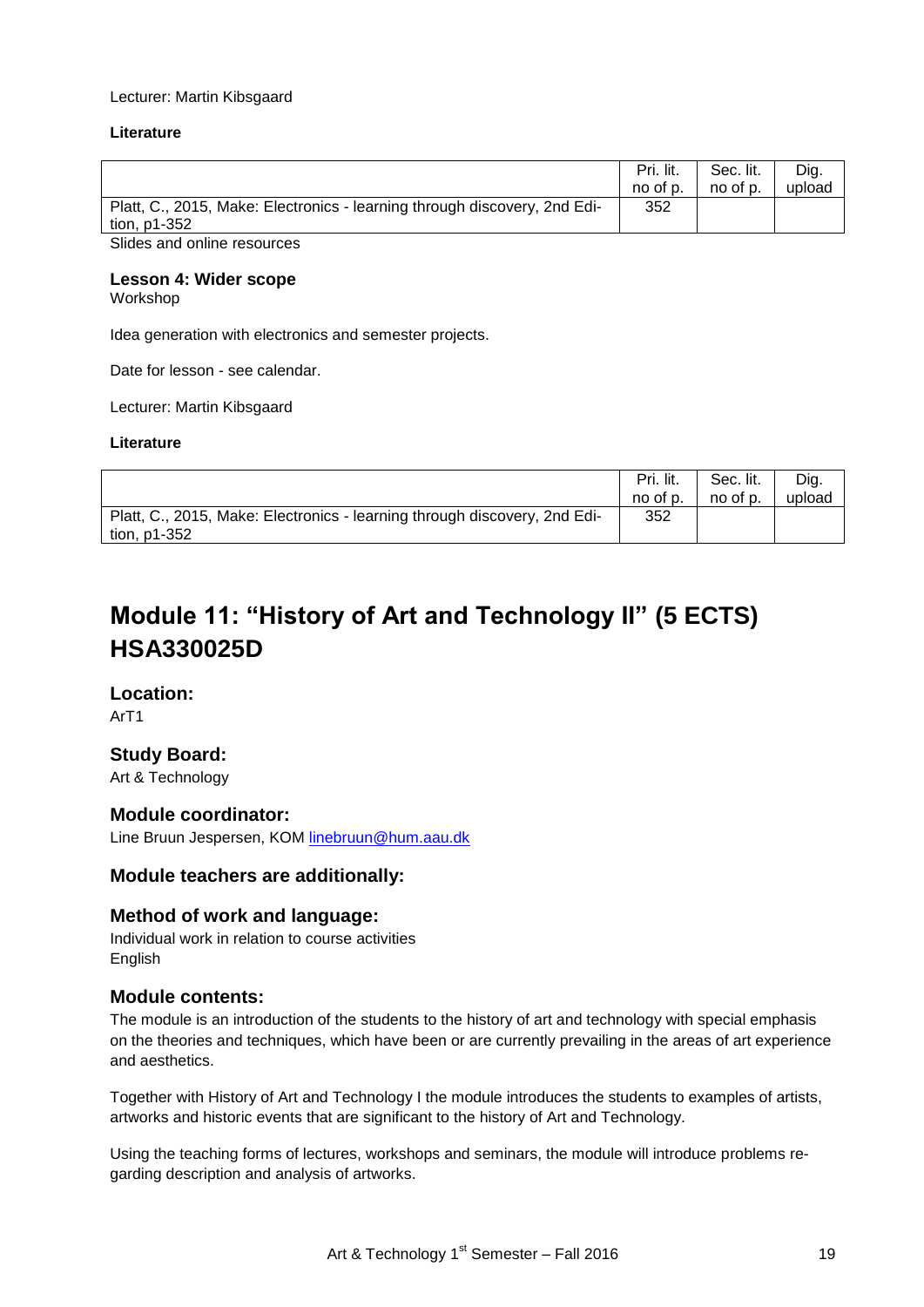#### Lecturer: Martin Kibsgaard

#### **Literature**

|                                                                           | Pri. lit. | Sec. lit. | Dig.   |
|---------------------------------------------------------------------------|-----------|-----------|--------|
|                                                                           | no of p.  | no of p.  | upload |
| Platt, C., 2015, Make: Electronics - learning through discovery, 2nd Edi- | 352       |           |        |
| tion, p1-352                                                              |           |           |        |
| Clides sud sullige reservases                                             |           |           |        |

Slides and online resources

#### **Lesson 4: Wider scope**

Workshop

Idea generation with electronics and semester projects.

Date for lesson - see calendar.

Lecturer: Martin Kibsgaard

#### **Literature**

|                                                                                             | Pri. lit. | Sec. lit. | Dig.   |
|---------------------------------------------------------------------------------------------|-----------|-----------|--------|
|                                                                                             | no of p.  | no of p.  | upload |
| Platt, C., 2015, Make: Electronics - learning through discovery, 2nd Edi-<br>tion, $p1-352$ | 352       |           |        |

# **Module 11: "History of Art and Technology II" (5 ECTS) HSA330025D**

# **Location:**

ArT1

## **Study Board:**

Art & Technology

## **Module coordinator:**

Line Bruun Jespersen, KOM [linebruun@hum.aau.dk](mailto:linebruun@hum.aau.dk)

## **Module teachers are additionally:**

## **Method of work and language:**

Individual work in relation to course activities English

## **Module contents:**

The module is an introduction of the students to the history of art and technology with special emphasis on the theories and techniques, which have been or are currently prevailing in the areas of art experience and aesthetics.

Together with History of Art and Technology I the module introduces the students to examples of artists, artworks and historic events that are significant to the history of Art and Technology.

Using the teaching forms of lectures, workshops and seminars, the module will introduce problems regarding description and analysis of artworks.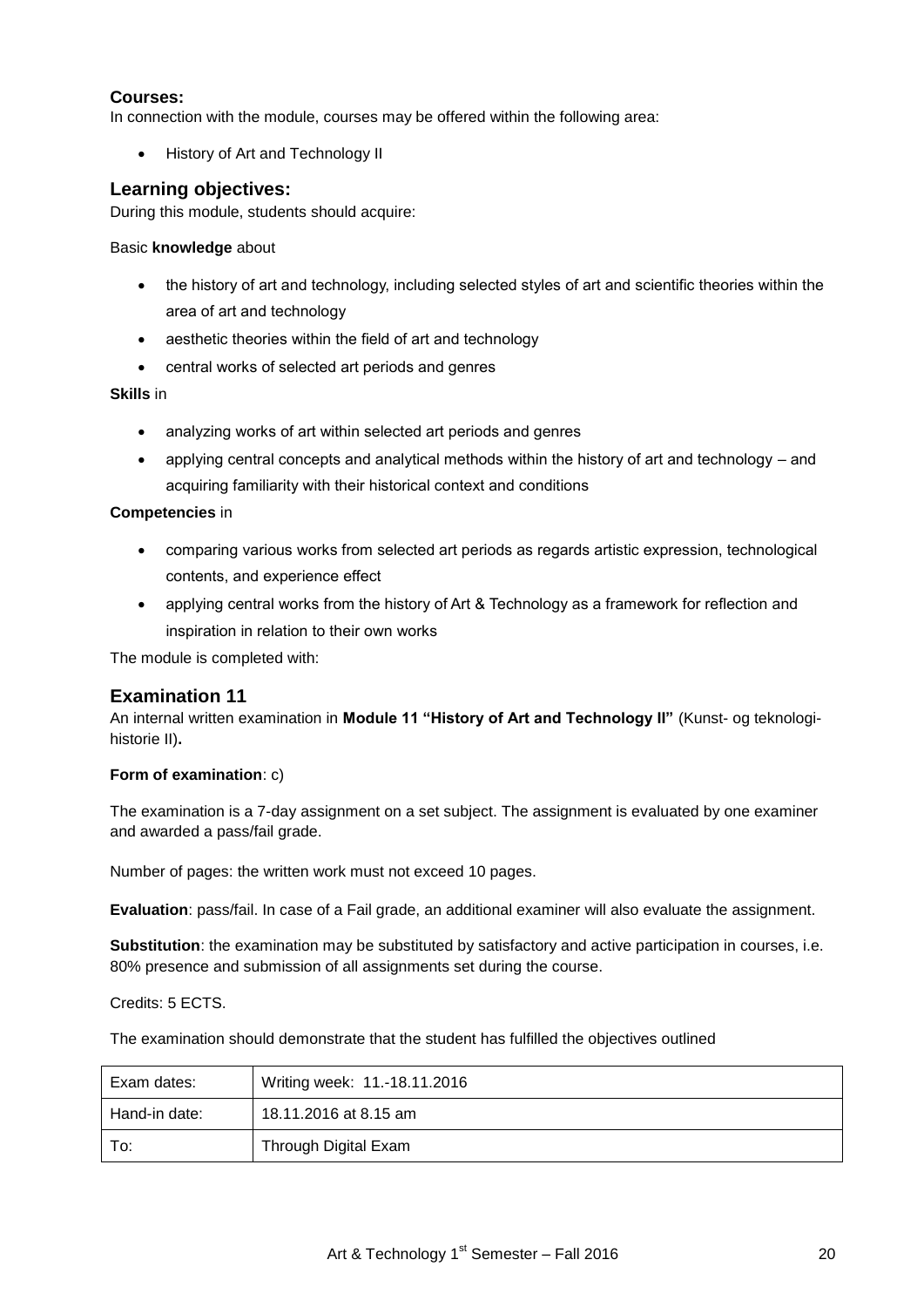## **Courses:**

In connection with the module, courses may be offered within the following area:

• History of Art and Technology II

## **Learning objectives:**

During this module, students should acquire:

#### Basic **knowledge** about

- the history of art and technology, including selected styles of art and scientific theories within the area of art and technology
- aesthetic theories within the field of art and technology
- central works of selected art periods and genres

#### **Skills** in

- analyzing works of art within selected art periods and genres
- applying central concepts and analytical methods within the history of art and technology and acquiring familiarity with their historical context and conditions

#### **Competencies** in

- comparing various works from selected art periods as regards artistic expression, technological contents, and experience effect
- applying central works from the history of Art & Technology as a framework for reflection and inspiration in relation to their own works

The module is completed with:

## **Examination 11**

An internal written examination in **Module 11 "History of Art and Technology II"** (Kunst- og teknologihistorie II)**.**

#### **Form of examination**: c)

The examination is a 7-day assignment on a set subject. The assignment is evaluated by one examiner and awarded a pass/fail grade.

Number of pages: the written work must not exceed 10 pages.

**Evaluation**: pass/fail. In case of a Fail grade, an additional examiner will also evaluate the assignment.

**Substitution**: the examination may be substituted by satisfactory and active participation in courses, i.e. 80% presence and submission of all assignments set during the course.

#### Credits: 5 ECTS.

The examination should demonstrate that the student has fulfilled the objectives outlined

| Exam dates:   | Writing week: 11.-18.11.2016 |
|---------------|------------------------------|
| Hand-in date: | 18.11.2016 at 8.15 am        |
| To:           | Through Digital Exam         |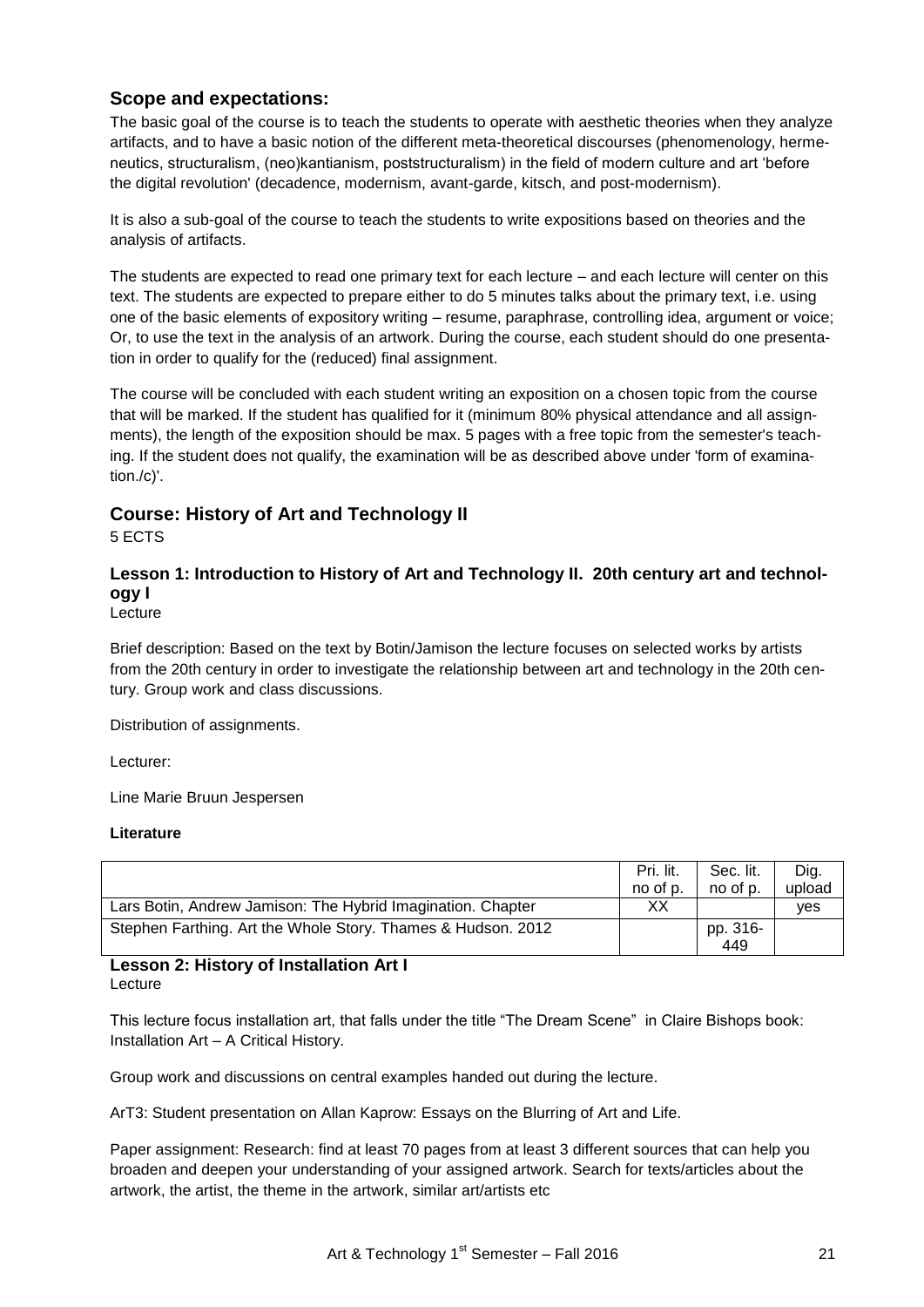# **Scope and expectations:**

The basic goal of the course is to teach the students to operate with aesthetic theories when they analyze artifacts, and to have a basic notion of the different meta-theoretical discourses (phenomenology, hermeneutics, structuralism, (neo)kantianism, poststructuralism) in the field of modern culture and art "before the digital revolution' (decadence, modernism, avant-garde, kitsch, and post-modernism).

It is also a sub-goal of the course to teach the students to write expositions based on theories and the analysis of artifacts.

The students are expected to read one primary text for each lecture – and each lecture will center on this text. The students are expected to prepare either to do 5 minutes talks about the primary text, i.e. using one of the basic elements of expository writing – resume, paraphrase, controlling idea, argument or voice; Or, to use the text in the analysis of an artwork. During the course, each student should do one presentation in order to qualify for the (reduced) final assignment.

The course will be concluded with each student writing an exposition on a chosen topic from the course that will be marked. If the student has qualified for it (minimum 80% physical attendance and all assignments), the length of the exposition should be max. 5 pages with a free topic from the semester's teaching. If the student does not qualify, the examination will be as described above under 'form of examination./c)'.

# **Course: History of Art and Technology II**

5 ECTS

# **Lesson 1: Introduction to History of Art and Technology II. 20th century art and technology I**

Lecture

Brief description: Based on the text by Botin/Jamison the lecture focuses on selected works by artists from the 20th century in order to investigate the relationship between art and technology in the 20th century. Group work and class discussions.

Distribution of assignments.

Lecturer:

Line Marie Bruun Jespersen

## **Literature**

|                                                              | Pri. lit.<br>no of p. | Sec. lit.<br>no of p. | Dig.<br>upload |
|--------------------------------------------------------------|-----------------------|-----------------------|----------------|
| Lars Botin, Andrew Jamison: The Hybrid Imagination. Chapter  | ХX                    |                       | <b>ves</b>     |
| Stephen Farthing. Art the Whole Story. Thames & Hudson. 2012 |                       | pp. 316-<br>449       |                |

#### **Lesson 2: History of Installation Art I** Lecture

This lecture focus installation art, that falls under the title "The Dream Scene" in Claire Bishops book: Installation Art – A Critical History.

Group work and discussions on central examples handed out during the lecture.

ArT3: Student presentation on Allan Kaprow: Essays on the Blurring of Art and Life.

Paper assignment: Research: find at least 70 pages from at least 3 different sources that can help you broaden and deepen your understanding of your assigned artwork. Search for texts/articles about the artwork, the artist, the theme in the artwork, similar art/artists etc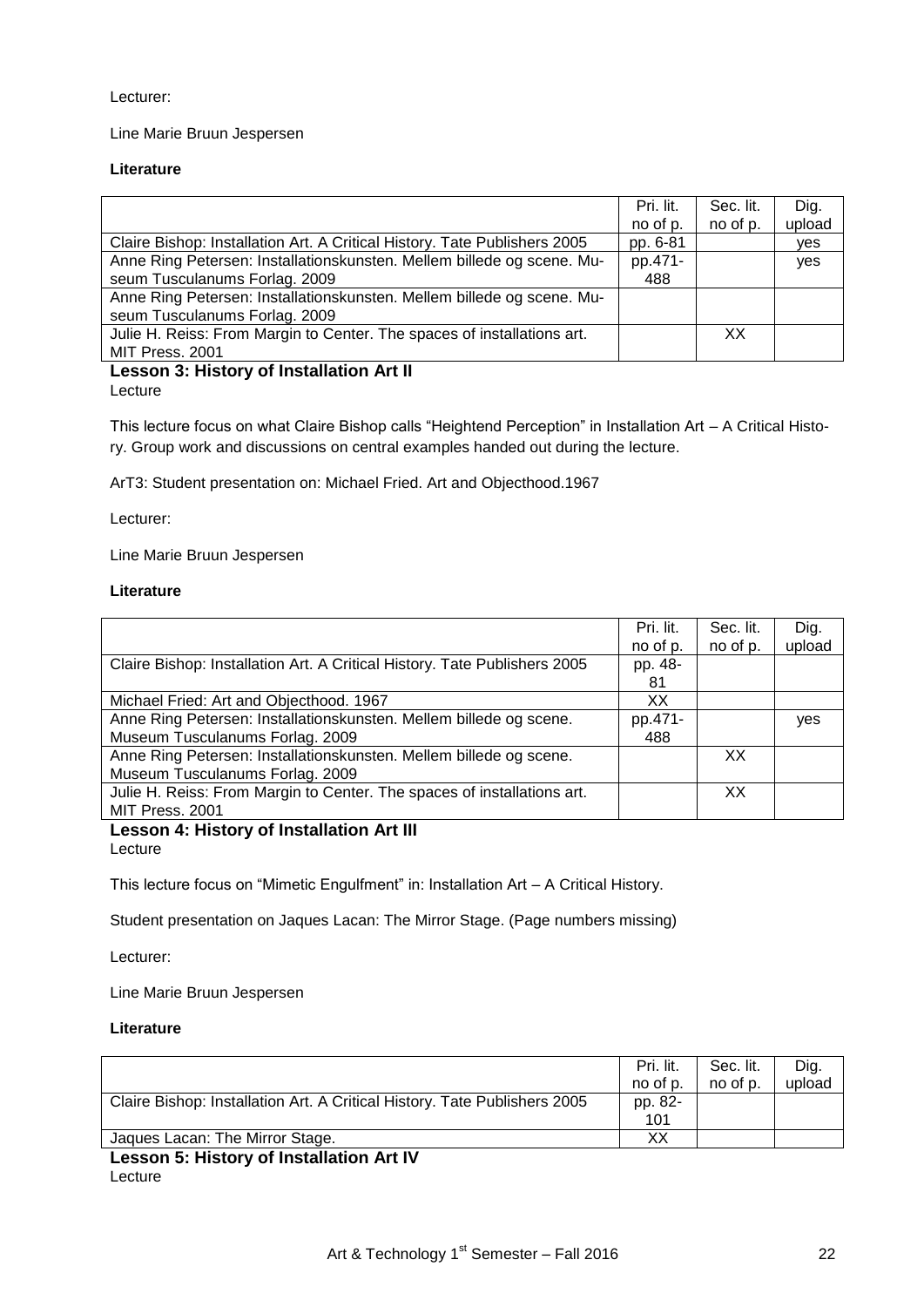Lecturer:

Line Marie Bruun Jespersen

#### **Literature**

|                                                                           | Pri. lit. | Sec. lit. | Dig.   |
|---------------------------------------------------------------------------|-----------|-----------|--------|
|                                                                           |           |           |        |
|                                                                           | no of p.  | no of p.  | upload |
| Claire Bishop: Installation Art. A Critical History. Tate Publishers 2005 | pp. 6-81  |           | yes    |
| Anne Ring Petersen: Installationskunsten. Mellem billede og scene. Mu-    | pp.471-   |           | yes    |
| seum Tusculanums Forlag. 2009                                             | 488       |           |        |
| Anne Ring Petersen: Installationskunsten. Mellem billede og scene. Mu-    |           |           |        |
| seum Tusculanums Forlag. 2009                                             |           |           |        |
| Julie H. Reiss: From Margin to Center. The spaces of installations art.   |           | XX        |        |
| MIT Press. 2001                                                           |           |           |        |
|                                                                           |           |           |        |

#### **Lesson 3: History of Installation Art II** Lecture

This lecture focus on what Claire Bishop calls "Heightend Perception" in Installation Art – A Critical History. Group work and discussions on central examples handed out during the lecture.

ArT3: Student presentation on: Michael Fried. Art and Objecthood.1967

Lecturer:

Line Marie Bruun Jespersen

#### **Literature**

|                                                                           | Pri. lit. | Sec. lit. | Dig.   |
|---------------------------------------------------------------------------|-----------|-----------|--------|
|                                                                           | no of p.  | no of p.  | upload |
| Claire Bishop: Installation Art. A Critical History. Tate Publishers 2005 | pp. 48-   |           |        |
|                                                                           | 81        |           |        |
| Michael Fried: Art and Objecthood. 1967                                   | XХ        |           |        |
| Anne Ring Petersen: Installationskunsten. Mellem billede og scene.        | pp.471-   |           | yes    |
| Museum Tusculanums Forlag. 2009                                           | 488       |           |        |
| Anne Ring Petersen: Installationskunsten. Mellem billede og scene.        |           | XХ        |        |
| Museum Tusculanums Forlag. 2009                                           |           |           |        |
| Julie H. Reiss: From Margin to Center. The spaces of installations art.   |           | XX        |        |
| MIT Press. 2001                                                           |           |           |        |

#### **Lesson 4: History of Installation Art III** Lecture

This lecture focus on "Mimetic Engulfment" in: Installation Art – A Critical History.

Student presentation on Jaques Lacan: The Mirror Stage. (Page numbers missing)

Lecturer:

Line Marie Bruun Jespersen

#### **Literature**

|                                                                           | Pri. lit.<br>no of p. | Sec. lit.<br>no of p. | Dig.<br>upload |
|---------------------------------------------------------------------------|-----------------------|-----------------------|----------------|
| Claire Bishop: Installation Art. A Critical History. Tate Publishers 2005 | pp. 82-<br>101        |                       |                |
| Jaques Lacan: The Mirror Stage.                                           | XХ                    |                       |                |
| _ _ _ _ _ _ _ _ _ _ _<br>.                                                |                       |                       |                |

## **Lesson 5: History of Installation Art IV** Lecture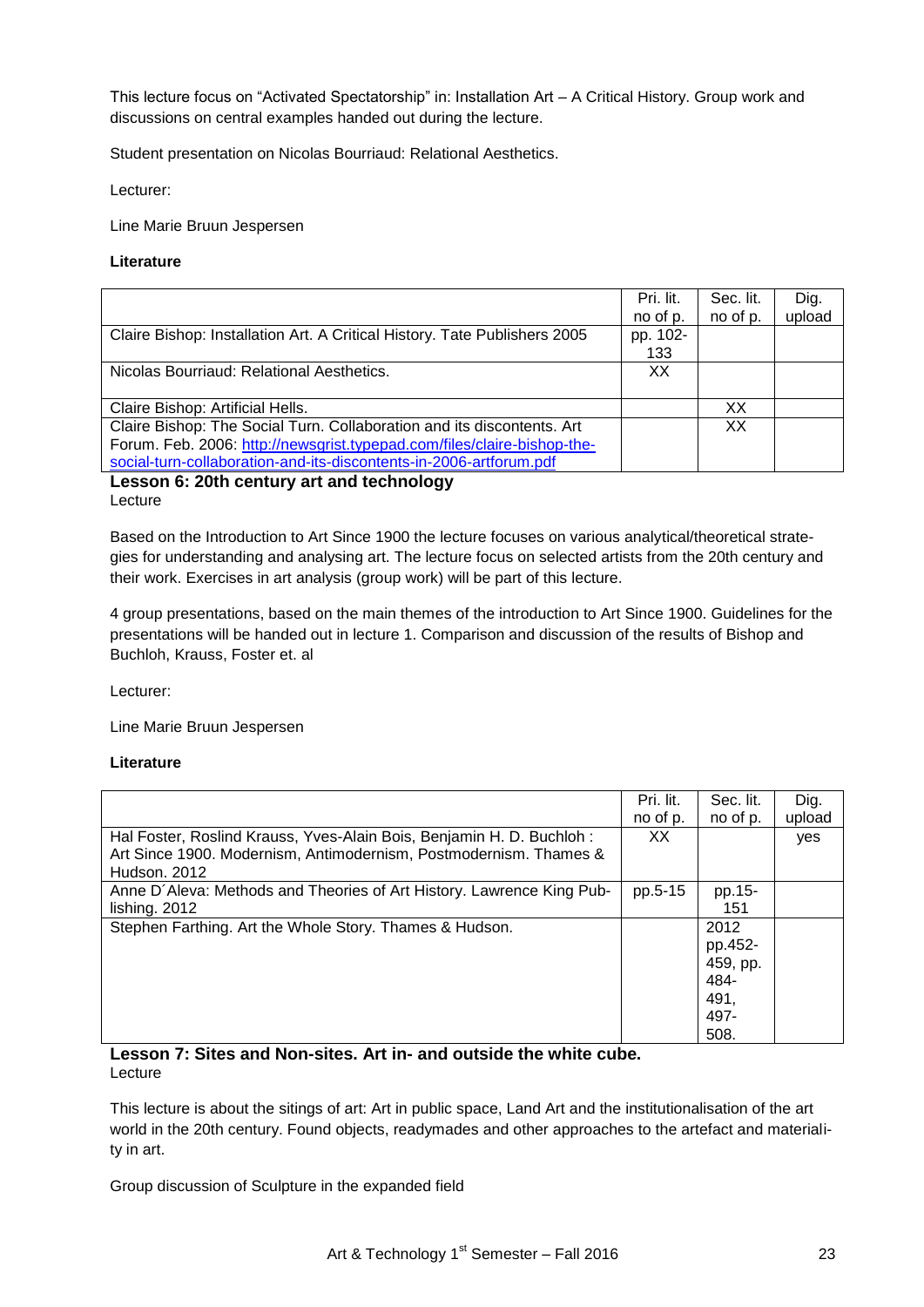This lecture focus on "Activated Spectatorship" in: Installation Art – A Critical History. Group work and discussions on central examples handed out during the lecture.

Student presentation on Nicolas Bourriaud: Relational Aesthetics.

Lecturer:

Line Marie Bruun Jespersen

#### **Literature**

|                                                                           | Pri. lit. | Sec. lit. | Dig.   |
|---------------------------------------------------------------------------|-----------|-----------|--------|
|                                                                           | no of p.  | no of p.  | upload |
| Claire Bishop: Installation Art. A Critical History. Tate Publishers 2005 | pp. 102-  |           |        |
|                                                                           | 133       |           |        |
| Nicolas Bourriaud: Relational Aesthetics.                                 | ХX        |           |        |
|                                                                           |           |           |        |
| Claire Bishop: Artificial Hells.                                          |           | XХ        |        |
| Claire Bishop: The Social Turn. Collaboration and its discontents. Art    |           | XХ        |        |
| Forum. Feb. 2006: http://newsgrist.typepad.com/files/claire-bishop-the-   |           |           |        |
| social-turn-collaboration-and-its-discontents-in-2006-artforum.pdf        |           |           |        |

#### **Lesson 6: 20th century art and technology** Lecture

Based on the Introduction to Art Since 1900 the lecture focuses on various analytical/theoretical strategies for understanding and analysing art. The lecture focus on selected artists from the 20th century and their work. Exercises in art analysis (group work) will be part of this lecture.

4 group presentations, based on the main themes of the introduction to Art Since 1900. Guidelines for the presentations will be handed out in lecture 1. Comparison and discussion of the results of Bishop and Buchloh, Krauss, Foster et. al

Lecturer:

Line Marie Bruun Jespersen

#### **Literature**

|                                                                       | Pri. lit. | Sec. lit. | Dig.   |
|-----------------------------------------------------------------------|-----------|-----------|--------|
|                                                                       | no of p.  | no of p.  | upload |
| Hal Foster, Roslind Krauss, Yves-Alain Bois, Benjamin H. D. Buchloh:  | XX.       |           | yes    |
| Art Since 1900. Modernism, Antimodernism, Postmodernism. Thames &     |           |           |        |
| Hudson, 2012                                                          |           |           |        |
| Anne D'Aleva: Methods and Theories of Art History. Lawrence King Pub- | pp.5-15   | pp.15-    |        |
| lishing. 2012                                                         |           | 151       |        |
| Stephen Farthing. Art the Whole Story. Thames & Hudson.               |           | 2012      |        |
|                                                                       |           | pp.452-   |        |
|                                                                       |           | 459, pp.  |        |
|                                                                       |           | 484-      |        |
|                                                                       |           | 491,      |        |
|                                                                       |           | 497-      |        |
|                                                                       |           | 508.      |        |

**Lesson 7: Sites and Non-sites. Art in- and outside the white cube.** Lecture

This lecture is about the sitings of art: Art in public space, Land Art and the institutionalisation of the art world in the 20th century. Found objects, readymades and other approaches to the artefact and materiality in art.

Group discussion of Sculpture in the expanded field